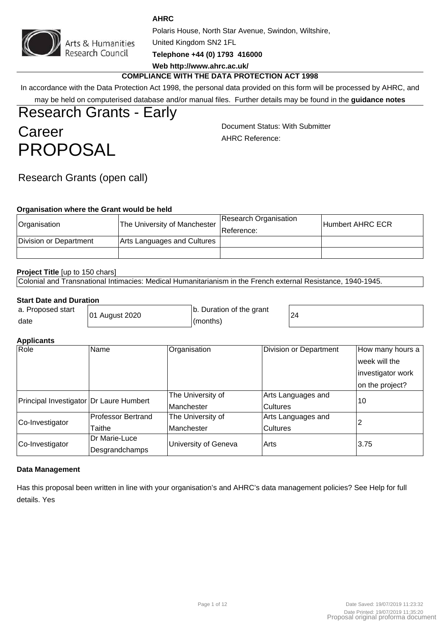

Arts & Humanities<br>Research Council

**AHRC**

Polaris House, North Star Avenue, Swindon, Wiltshire,

United Kingdom SN2 1FL

**Telephone +44 (0) 1793 416000**

# **Web http://www.ahrc.ac.uk/**

# **COMPLIANCE WITH THE DATA PROTECTION ACT 1998**

In accordance with the Data Protection Act 1998, the personal data provided on this form will be processed by AHRC, and may be held on computerised database and/or manual files. Further details may be found in the **guidance notes**

# Research Grants - Early **Career** PROPOSAL

Document Status: With Submitter AHRC Reference:

# Research Grants (open call)

### **Organisation where the Grant would be held**

| Organisation           | <sup>1</sup> The University of Manchester, | Research Organisation<br>∣Reference: | Humbert AHRC ECR |
|------------------------|--------------------------------------------|--------------------------------------|------------------|
| Division or Department | Arts Languages and Cultures                |                                      |                  |
|                        |                                            |                                      |                  |

### **Project Title** [up to 150 chars]

Colonial and Transnational Intimacies: Medical Humanitarianism in the French external Resistance, 1940-1945.

### **Start Date and Duration**

| a. Proposed start | 01 August 2020 | b. Duration of the grant | 24 |
|-------------------|----------------|--------------------------|----|
| date              |                | (months)                 |    |

### **Applicants**

| . .<br>Role                             | Name                      | Organisation         | Division or Department | How many hours a  |  |
|-----------------------------------------|---------------------------|----------------------|------------------------|-------------------|--|
|                                         |                           |                      |                        | week will the     |  |
|                                         |                           |                      |                        | investigator work |  |
|                                         |                           |                      |                        | on the project?   |  |
| Principal Investigator Dr Laure Humbert |                           | The University of    | Arts Languages and     | 10                |  |
|                                         |                           | <b>Manchester</b>    | <b>Cultures</b>        |                   |  |
| Co-Investigator                         | <b>Professor Bertrand</b> | The University of    | Arts Languages and     |                   |  |
|                                         | Taithe                    | Manchester           | <b>Cultures</b>        |                   |  |
| Co-Investigator                         | Dr Marie-Luce             | University of Geneva | l Arts                 | 3.75              |  |
|                                         | Desgrandchamps            |                      |                        |                   |  |

### **Data Management**

Has this proposal been written in line with your organisation's and AHRC's data management policies? See Help for full details. Yes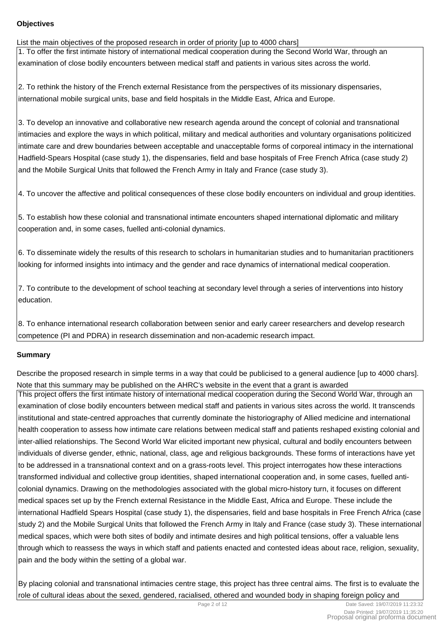### **Objectives**

List the main objectives of the proposed research in order of priority [up to 4000 chars] 1. To offer the first intimate history of international medical cooperation during the Second World War, through an examination of close bodily encounters between medical staff and patients in various sites across the world.

2. To rethink the history of the French external Resistance from the perspectives of its missionary dispensaries, international mobile surgical units, base and field hospitals in the Middle East, Africa and Europe.

3. To develop an innovative and collaborative new research agenda around the concept of colonial and transnational intimacies and explore the ways in which political, military and medical authorities and voluntary organisations politicized intimate care and drew boundaries between acceptable and unacceptable forms of corporeal intimacy in the international Hadfield-Spears Hospital (case study 1), the dispensaries, field and base hospitals of Free French Africa (case study 2) and the Mobile Surgical Units that followed the French Army in Italy and France (case study 3).

4. To uncover the affective and political consequences of these close bodily encounters on individual and group identities.

5. To establish how these colonial and transnational intimate encounters shaped international diplomatic and military cooperation and, in some cases, fuelled anti-colonial dynamics.

6. To disseminate widely the results of this research to scholars in humanitarian studies and to humanitarian practitioners looking for informed insights into intimacy and the gender and race dynamics of international medical cooperation.

7. To contribute to the development of school teaching at secondary level through a series of interventions into history education.

8. To enhance international research collaboration between senior and early career researchers and develop research competence (PI and PDRA) in research dissemination and non-academic research impact.

# **Summary**

Describe the proposed research in simple terms in a way that could be publicised to a general audience [up to 4000 chars]. Note that this summary may be published on the AHRC's website in the event that a grant is awarded

This project offers the first intimate history of international medical cooperation during the Second World War, through an examination of close bodily encounters between medical staff and patients in various sites across the world. It transcends institutional and state-centred approaches that currently dominate the historiography of Allied medicine and international health cooperation to assess how intimate care relations between medical staff and patients reshaped existing colonial and inter-allied relationships. The Second World War elicited important new physical, cultural and bodily encounters between individuals of diverse gender, ethnic, national, class, age and religious backgrounds. These forms of interactions have yet to be addressed in a transnational context and on a grass-roots level. This project interrogates how these interactions transformed individual and collective group identities, shaped international cooperation and, in some cases, fuelled anticolonial dynamics. Drawing on the methodologies associated with the global micro-history turn, it focuses on different medical spaces set up by the French external Resistance in the Middle East, Africa and Europe. These include the international Hadfield Spears Hospital (case study 1), the dispensaries, field and base hospitals in Free French Africa (case study 2) and the Mobile Surgical Units that followed the French Army in Italy and France (case study 3). These international medical spaces, which were both sites of bodily and intimate desires and high political tensions, offer a valuable lens through which to reassess the ways in which staff and patients enacted and contested ideas about race, religion, sexuality, pain and the body within the setting of a global war.

By placing colonial and transnational intimacies centre stage, this project has three central aims. The first is to evaluate the role of cultural ideas about the sexed, gendered, racialised, othered and wounded body in shaping foreign policy and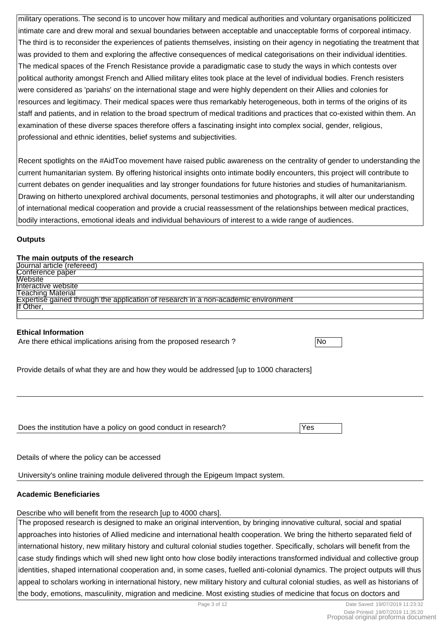military operations. The second is to uncover how military and medical authorities and voluntary organisations politicized intimate care and drew moral and sexual boundaries between acceptable and unacceptable forms of corporeal intimacy. The third is to reconsider the experiences of patients themselves, insisting on their agency in negotiating the treatment that was provided to them and exploring the affective consequences of medical categorisations on their individual identities. The medical spaces of the French Resistance provide a paradigmatic case to study the ways in which contests over political authority amongst French and Allied military elites took place at the level of individual bodies. French resisters were considered as 'pariahs' on the international stage and were highly dependent on their Allies and colonies for resources and legitimacy. Their medical spaces were thus remarkably heterogeneous, both in terms of the origins of its staff and patients, and in relation to the broad spectrum of medical traditions and practices that co-existed within them. An examination of these diverse spaces therefore offers a fascinating insight into complex social, gender, religious, professional and ethnic identities, belief systems and subjectivities.

Recent spotlights on the #AidToo movement have raised public awareness on the centrality of gender to understanding the current humanitarian system. By offering historical insights onto intimate bodily encounters, this project will contribute to current debates on gender inequalities and lay stronger foundations for future histories and studies of humanitarianism. Drawing on hitherto unexplored archival documents, personal testimonies and photographs, it will alter our understanding of international medical cooperation and provide a crucial reassessment of the relationships between medical practices, bodily interactions, emotional ideals and individual behaviours of interest to a wide range of audiences.

### **Outputs**

### **The main outputs of the research**

| Journal article (refereed)                                                                |
|-------------------------------------------------------------------------------------------|
| Conference paper                                                                          |
| Website                                                                                   |
| Interactive website                                                                       |
| <b>Teaching Material</b>                                                                  |
| <b>Expertise gained through the application of research in a non-academic environment</b> |
| llf Other.                                                                                |
|                                                                                           |

### **Ethical Information**

Are there ethical implications arising from the proposed research ?

Provide details of what they are and how they would be addressed [up to 1000 characters]

Does the institution have a policy on good conduct in research? Ves

Details of where the policy can be accessed

University's online training module delivered through the Epigeum Impact system.

### **Academic Beneficiaries**

# Describe who will benefit from the research [up to 4000 chars].

The proposed research is designed to make an original intervention, by bringing innovative cultural, social and spatial approaches into histories of Allied medicine and international health cooperation. We bring the hitherto separated field of international history, new military history and cultural colonial studies together. Specifically, scholars will benefit from the case study findings which will shed new light onto how close bodily interactions transformed individual and collective group identities, shaped international cooperation and, in some cases, fuelled anti-colonial dynamics. The project outputs will thus appeal to scholars working in international history, new military history and cultural colonial studies, as well as historians of the body, emotions, masculinity, migration and medicine. Most existing studies of medicine that focus on doctors and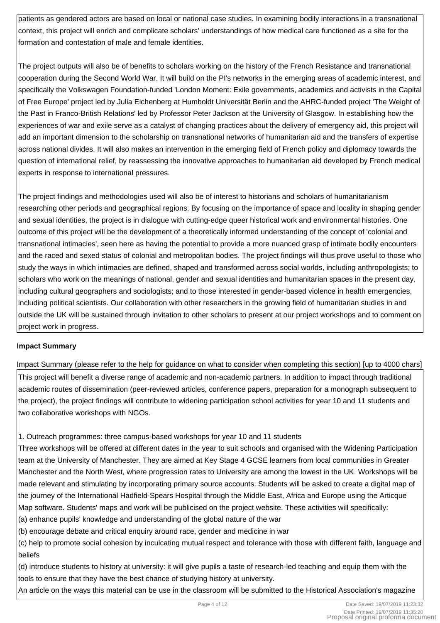patients as gendered actors are based on local or national case studies. In examining bodily interactions in a transnational context, this project will enrich and complicate scholars' understandings of how medical care functioned as a site for the formation and contestation of male and female identities.

The project outputs will also be of benefits to scholars working on the history of the French Resistance and transnational cooperation during the Second World War. It will build on the PI's networks in the emerging areas of academic interest, and specifically the Volkswagen Foundation-funded 'London Moment: Exile governments, academics and activists in the Capital of Free Europe' project led by Julia Eichenberg at Humboldt Universität Berlin and the AHRC-funded project 'The Weight of the Past in Franco-British Relations' led by Professor Peter Jackson at the University of Glasgow. In establishing how the experiences of war and exile serve as a catalyst of changing practices about the delivery of emergency aid, this project will add an important dimension to the scholarship on transnational networks of humanitarian aid and the transfers of expertise across national divides. It will also makes an intervention in the emerging field of French policy and diplomacy towards the question of international relief, by reassessing the innovative approaches to humanitarian aid developed by French medical experts in response to international pressures.

The project findings and methodologies used will also be of interest to historians and scholars of humanitarianism researching other periods and geographical regions. By focusing on the importance of space and locality in shaping gender and sexual identities, the project is in dialogue with cutting-edge queer historical work and environmental histories. One outcome of this project will be the development of a theoretically informed understanding of the concept of 'colonial and transnational intimacies', seen here as having the potential to provide a more nuanced grasp of intimate bodily encounters and the raced and sexed status of colonial and metropolitan bodies. The project findings will thus prove useful to those who study the ways in which intimacies are defined, shaped and transformed across social worlds, including anthropologists; to scholars who work on the meanings of national, gender and sexual identities and humanitarian spaces in the present day, including cultural geographers and sociologists; and to those interested in gender-based violence in health emergencies, including political scientists. Our collaboration with other researchers in the growing field of humanitarian studies in and outside the UK will be sustained through invitation to other scholars to present at our project workshops and to comment on project work in progress.

# **Impact Summary**

Impact Summary (please refer to the help for guidance on what to consider when completing this section) [up to 4000 chars] This project will benefit a diverse range of academic and non-academic partners. In addition to impact through traditional academic routes of dissemination (peer-reviewed articles, conference papers, preparation for a monograph subsequent to the project), the project findings will contribute to widening participation school activities for year 10 and 11 students and two collaborative workshops with NGOs.

# 1. Outreach programmes: three campus-based workshops for year 10 and 11 students

Three workshops will be offered at different dates in the year to suit schools and organised with the Widening Participation team at the University of Manchester. They are aimed at Key Stage 4 GCSE learners from local communities in Greater Manchester and the North West, where progression rates to University are among the lowest in the UK. Workshops will be made relevant and stimulating by incorporating primary source accounts. Students will be asked to create a digital map of the journey of the International Hadfield-Spears Hospital through the Middle East, Africa and Europe using the Articque Map software. Students' maps and work will be publicised on the project website. These activities will specifically: (a) enhance pupils' knowledge and understanding of the global nature of the war

(b) encourage debate and critical enquiry around race, gender and medicine in war

(c) help to promote social cohesion by inculcating mutual respect and tolerance with those with different faith, language and beliefs

(d) introduce students to history at university: it will give pupils a taste of research-led teaching and equip them with the tools to ensure that they have the best chance of studying history at university.

An article on the ways this material can be use in the classroom will be submitted to the Historical Association's magazine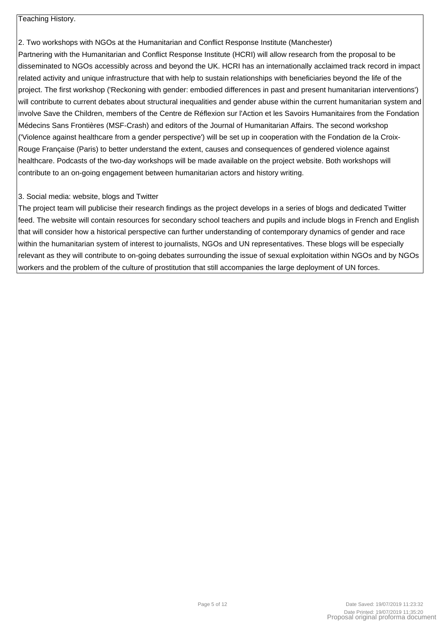# Teaching History.

2. Two workshops with NGOs at the Humanitarian and Conflict Response Institute (Manchester) Partnering with the Humanitarian and Conflict Response Institute (HCRI) will allow research from the proposal to be disseminated to NGOs accessibly across and beyond the UK. HCRI has an internationally acclaimed track record in impact related activity and unique infrastructure that with help to sustain relationships with beneficiaries beyond the life of the project. The first workshop ('Reckoning with gender: embodied differences in past and present humanitarian interventions') will contribute to current debates about structural inequalities and gender abuse within the current humanitarian system and involve Save the Children, members of the Centre de Réflexion sur l'Action et les Savoirs Humanitaires from the Fondation Médecins Sans Frontières (MSF-Crash) and editors of the Journal of Humanitarian Affairs. The second workshop ('Violence against healthcare from a gender perspective') will be set up in cooperation with the Fondation de la Croix-Rouge Française (Paris) to better understand the extent, causes and consequences of gendered violence against healthcare. Podcasts of the two-day workshops will be made available on the project website. Both workshops will contribute to an on-going engagement between humanitarian actors and history writing.

### 3. Social media: website, blogs and Twitter

The project team will publicise their research findings as the project develops in a series of blogs and dedicated Twitter feed. The website will contain resources for secondary school teachers and pupils and include blogs in French and English that will consider how a historical perspective can further understanding of contemporary dynamics of gender and race within the humanitarian system of interest to journalists, NGOs and UN representatives. These blogs will be especially relevant as they will contribute to on-going debates surrounding the issue of sexual exploitation within NGOs and by NGOs workers and the problem of the culture of prostitution that still accompanies the large deployment of UN forces.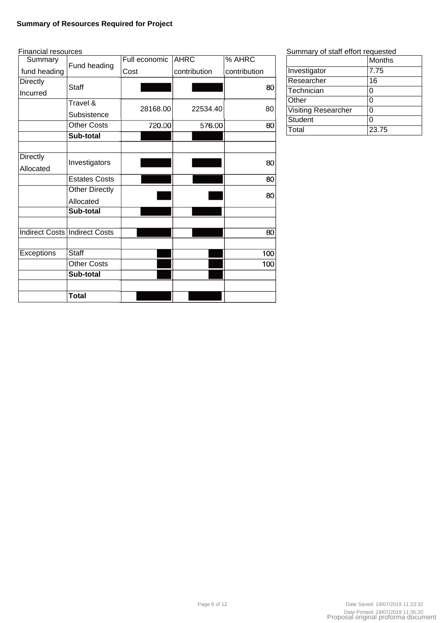### **Summary of Resources Required for Project**

| <b>Financial resources</b> |                                      |               |              |              |
|----------------------------|--------------------------------------|---------------|--------------|--------------|
| Summary                    | Fund heading                         | Full economic | <b>AHRC</b>  | % AHRC       |
| fund heading               |                                      | Cost          | contribution | contribution |
| <b>Directly</b>            | <b>Staff</b>                         |               |              | 80           |
| Incurred                   |                                      |               |              |              |
|                            | Travel &                             | 28168.00      | 22534.40     | 80           |
|                            | Subsistence                          |               |              |              |
|                            | <b>Other Costs</b>                   | 720.00        | 576.00       | 80           |
|                            | Sub-total                            |               |              |              |
|                            |                                      |               |              |              |
| <b>Directly</b>            | Investigators                        |               |              | 80           |
| Allocated                  |                                      |               |              |              |
|                            | <b>Estates Costs</b>                 |               |              | 80           |
|                            | <b>Other Directly</b>                |               |              | 80           |
|                            | Allocated                            |               |              |              |
|                            | Sub-total                            |               |              |              |
|                            |                                      |               |              |              |
|                            | <b>Indirect Costs Indirect Costs</b> |               |              | 80           |
|                            |                                      |               |              |              |
| <b>Exceptions</b>          | <b>Staff</b>                         |               |              | 100          |
|                            | <b>Other Costs</b>                   |               |              | 100          |
|                            | Sub-total                            |               |              |              |
|                            |                                      |               |              |              |
|                            | Total                                |               |              |              |

### Summary of staff effort requested

|                            | Months |
|----------------------------|--------|
| Investigator               | 7.75   |
| Researcher                 | 16     |
| Technician                 | 0      |
| Other                      | 0      |
| <b>Visiting Researcher</b> | 0      |
| Student                    | 0      |
| Total                      | 23.75  |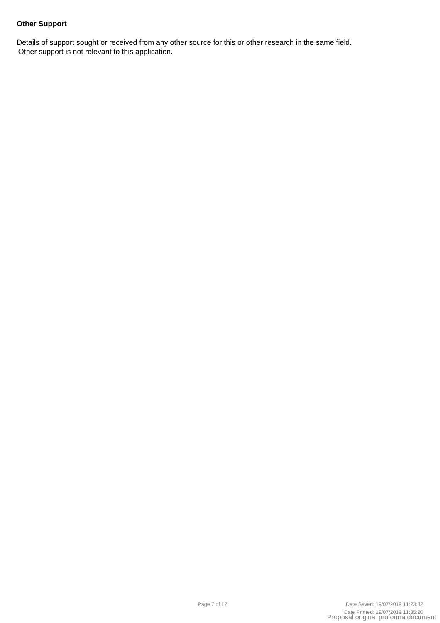# **Other Support**

Details of support sought or received from any other source for this or other research in the same field. Other support is not relevant to this application.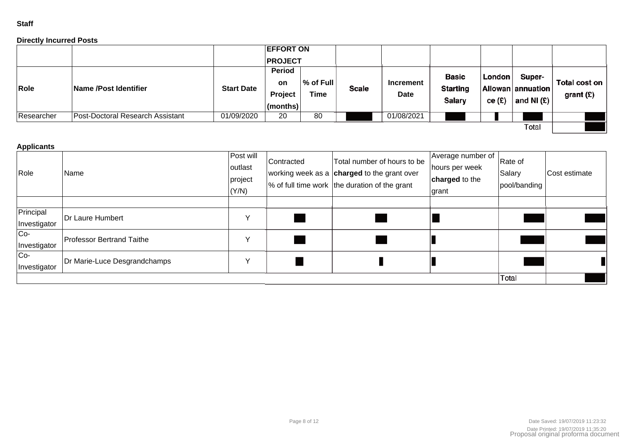### **Staff**

### **Directly Incurred Posts**

|            |                                  |                   | <b>EFFORT ON</b><br><b>PROJECT</b>  |                                   |       |                          |                                           |                  |                                             |                              |
|------------|----------------------------------|-------------------|-------------------------------------|-----------------------------------|-------|--------------------------|-------------------------------------------|------------------|---------------------------------------------|------------------------------|
| Role       | Name /Post Identifier            | <b>Start Date</b> | Period<br>on<br>Project<br>(months) | $\sqrt{ }$ of Full<br><b>Time</b> | Scale | Increment<br><b>Date</b> | <b>Basic</b><br><b>Starting</b><br>Salary | London<br>ce (£) | Super-<br>Allowan annuation<br>and NI $(E)$ | Total cost on<br>grant $(E)$ |
| Researcher | Post-Doctoral Research Assistant | 01/09/2020        | 20                                  | 80                                |       | 01/08/2021               |                                           |                  |                                             |                              |
|            |                                  |                   |                                     |                                   |       |                          |                                           |                  | Total                                       |                              |

### **Applicants**

| Role                      | Name                         | Post will<br>outlast<br>project<br>(Y/N) | Contracted | Total number of hours to be<br>working week as a charged to the grant over<br>$\frac{1}{6}$ of full time work the duration of the grant | Average number of<br>hours per week<br>charged to the<br>grant | Rate of<br>Salary<br>pool/banding | Cost estimate |
|---------------------------|------------------------------|------------------------------------------|------------|-----------------------------------------------------------------------------------------------------------------------------------------|----------------------------------------------------------------|-----------------------------------|---------------|
|                           |                              |                                          |            |                                                                                                                                         |                                                                |                                   |               |
| Principal<br>Investigator | Dr Laure Humbert             |                                          |            |                                                                                                                                         |                                                                |                                   |               |
| $Co-$<br>Investigator     | Professor Bertrand Taithe    |                                          |            |                                                                                                                                         |                                                                |                                   |               |
| $Co-$<br>Investigator     | Dr Marie-Luce Desgrandchamps |                                          |            |                                                                                                                                         |                                                                |                                   |               |
|                           |                              |                                          |            |                                                                                                                                         |                                                                | Total                             |               |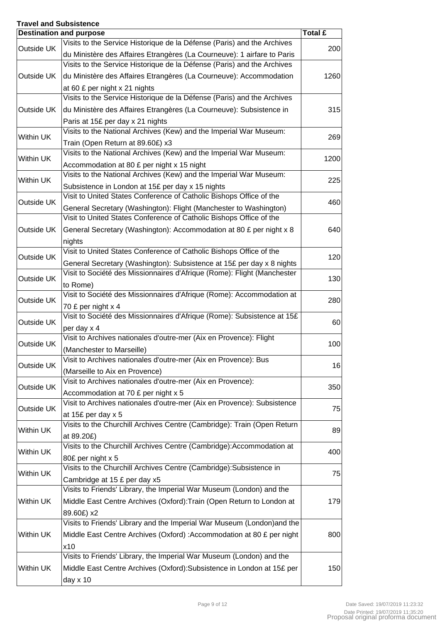# **Travel and Subsistence**

|            | <b>Destination and purpose</b>                                                        | Total £ |
|------------|---------------------------------------------------------------------------------------|---------|
| Outside UK | Visits to the Service Historique de la Défense (Paris) and the Archives               | 200     |
|            | du Ministère des Affaires Etrangères (La Courneuve): 1 airfare to Paris               |         |
|            | Visits to the Service Historique de la Défense (Paris) and the Archives               |         |
| Outside UK | du Ministère des Affaires Etrangères (La Courneuve): Accommodation                    | 1260    |
|            | at 60 £ per night x 21 nights                                                         |         |
|            | Visits to the Service Historique de la Défense (Paris) and the Archives               |         |
| Outside UK | du Ministère des Affaires Etrangères (La Courneuve): Subsistence in                   | 315     |
|            | Paris at 15£ per day x 21 nights                                                      |         |
|            | Visits to the National Archives (Kew) and the Imperial War Museum:                    |         |
| Within UK  | Train (Open Return at 89.60£) x3                                                      | 269     |
|            | Visits to the National Archives (Kew) and the Imperial War Museum:                    |         |
| Within UK  | Accommodation at 80 £ per night x 15 night                                            | 1200    |
|            | Visits to the National Archives (Kew) and the Imperial War Museum:                    |         |
| Within UK  | Subsistence in London at 15£ per day x 15 nights                                      | 225     |
|            | Visit to United States Conference of Catholic Bishops Office of the                   |         |
| Outside UK | General Secretary (Washington): Flight (Manchester to Washington)                     | 460     |
|            | Visit to United States Conference of Catholic Bishops Office of the                   |         |
| Outside UK | General Secretary (Washington): Accommodation at 80 £ per night x 8                   | 640     |
|            | nights                                                                                |         |
|            | Visit to United States Conference of Catholic Bishops Office of the                   |         |
| Outside UK | General Secretary (Washington): Subsistence at 15£ per day x 8 nights                 | 120     |
|            | Visit to Société des Missionnaires d'Afrique (Rome): Flight (Manchester               |         |
| Outside UK | to Rome)                                                                              | 130     |
|            | Visit to Société des Missionnaires d'Afrique (Rome): Accommodation at                 |         |
| Outside UK | 70 £ per night x 4                                                                    | 280     |
|            | Visit to Société des Missionnaires d'Afrique (Rome): Subsistence at 15£               |         |
| Outside UK | per day x 4                                                                           | 60      |
|            | Visit to Archives nationales d'outre-mer (Aix en Provence): Flight                    |         |
| Outside UK | (Manchester to Marseille)                                                             | 100     |
|            | Visit to Archives nationales d'outre-mer (Aix en Provence): Bus                       |         |
| Outside UK | (Marseille to Aix en Provence)                                                        | 16      |
|            | Visit to Archives nationales d'outre-mer (Aix en Provence):                           |         |
| Outside UK | Accommodation at 70 £ per night x 5                                                   | 350     |
|            | Visit to Archives nationales d'outre-mer (Aix en Provence): Subsistence               |         |
| Outside UK | at 15£ per day x 5                                                                    | 75      |
|            | Visits to the Churchill Archives Centre (Cambridge): Train (Open Return               |         |
| Within UK  | at 89.20£)                                                                            | 89      |
|            | Visits to the Churchill Archives Centre (Cambridge):Accommodation at                  |         |
| Within UK  | 80£ per night x 5                                                                     | 400     |
|            | Visits to the Churchill Archives Centre (Cambridge): Subsistence in                   |         |
| Within UK  | Cambridge at 15 £ per day x5                                                          | 75      |
|            | Visits to Friends' Library, the Imperial War Museum (London) and the                  |         |
| Within UK  | Middle East Centre Archives (Oxford): Train (Open Return to London at                 | 179     |
|            |                                                                                       |         |
|            | 89.60£) x2<br>Visits to Friends' Library and the Imperial War Museum (London) and the |         |
|            |                                                                                       |         |
| Within UK  | Middle East Centre Archives (Oxford) : Accommodation at 80 £ per night                | 800     |
|            | x10                                                                                   |         |
|            | Visits to Friends' Library, the Imperial War Museum (London) and the                  |         |
| Within UK  | Middle East Centre Archives (Oxford): Subsistence in London at 15£ per                | 150     |
|            | day $x$ 10                                                                            |         |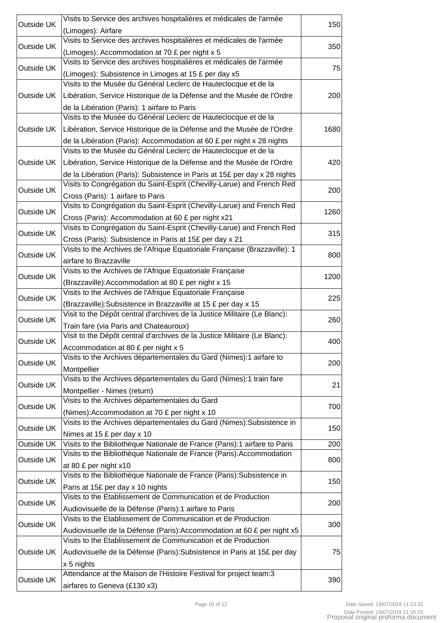| Outside UK | Visits to Service des archives hospitalières et médicales de l'armée                                                                     | 150  |
|------------|------------------------------------------------------------------------------------------------------------------------------------------|------|
|            | (Limoges): Airfare                                                                                                                       |      |
| Outside UK | Visits to Service des archives hospitalières et médicales de l'armée                                                                     | 350  |
|            | (Limoges): Accommodation at 70 £ per night x 5                                                                                           |      |
| Outside UK | Visits to Service des archives hospitalières et médicales de l'armée                                                                     | 75   |
|            | (Limoges): Subsistence in Limoges at 15 £ per day x5                                                                                     |      |
|            | Visits to the Musée du Général Leclerc de Hauteclocque et de la                                                                          |      |
| Outside UK | Libération, Service Historique de la Défense and the Musée de l'Ordre                                                                    | 200  |
|            | de la Libération (Paris): 1 airfare to Paris                                                                                             |      |
|            | Visits to the Musée du Général Leclerc de Hauteclocque et de la                                                                          |      |
| Outside UK | Libération, Service Historique de la Défense and the Musée de l'Ordre                                                                    | 1680 |
|            | de la Libération (Paris): Accommodation at 60 £ per night x 28 nights<br>Visits to the Musée du Général Leclerc de Hauteclocque et de la |      |
|            |                                                                                                                                          |      |
| Outside UK | Libération, Service Historique de la Défense and the Musée de l'Ordre                                                                    | 420  |
|            | de la Libération (Paris): Subsistence in Paris at 15£ per day x 28 nights                                                                |      |
| Outside UK | Visits to Congrégation du Saint-Esprit (Chevilly-Larue) and French Red                                                                   | 200  |
|            | Cross (Paris): 1 airfare to Paris                                                                                                        |      |
| Outside UK | Visits to Congrégation du Saint-Esprit (Chevilly-Larue) and French Red                                                                   | 1260 |
|            | Cross (Paris): Accommodation at 60 £ per night x21                                                                                       |      |
| Outside UK | Visits to Congrégation du Saint-Esprit (Chevilly-Larue) and French Red                                                                   | 315  |
|            | Cross (Paris): Subsistence in Paris at 15£ per day x 21                                                                                  |      |
| Outside UK | Visits to the Archives de l'Afrique Equatoriale Française (Brazzaville): 1                                                               | 800  |
|            | airfare to Brazzaville                                                                                                                   |      |
| Outside UK | Visits to the Archives de l'Afrique Equatoriale Française                                                                                | 1200 |
|            | (Brazzaville): Accommodation at 80 £ per night x 15                                                                                      |      |
| Outside UK | Visits to the Archives de l'Afrique Equatoriale Française                                                                                | 225  |
|            | (Brazzaville): Subsistence in Brazzaville at 15 £ per day x 15                                                                           |      |
| Outside UK | Visit to the Dépôt central d'archives de la Justice Militaire (Le Blanc):                                                                | 260  |
|            | Train fare (via Paris and Chateauroux)                                                                                                   |      |
| Outside UK | Visit to the Dépôt central d'archives de la Justice Militaire (Le Blanc):                                                                | 400  |
|            | Accommodation at 80 £ per night x 5<br>Visits to the Archives départementales du Gard (Nimes):1 airfare to                               |      |
| Outside UK |                                                                                                                                          | 200  |
|            | Montpellier<br>Visits to the Archives départementales du Gard (Nimes):1 train fare                                                       |      |
| Outside UK |                                                                                                                                          | 21   |
|            | Montpellier - Nimes (return)<br>Visits to the Archives départementales du Gard                                                           |      |
| Outside UK | (Nimes): Accommodation at 70 £ per night x 10                                                                                            | 700  |
|            | Visits to the Archives départementales du Gard (Nimes): Subsistence in                                                                   |      |
| Outside UK |                                                                                                                                          | 150  |
| Outside UK | Nimes at 15 £ per day x 10<br>Visits to the Bibliothèque Nationale de France (Paris):1 airfare to Paris                                  | 200  |
|            | Visits to the Bibliothèque Nationale de France (Paris): Accommodation                                                                    |      |
| Outside UK | at 80 £ per night x10                                                                                                                    | 800  |
|            | Visits to the Bibliothèque Nationale de France (Paris): Subsistence in                                                                   |      |
| Outside UK | Paris at 15£ per day x 10 nights                                                                                                         | 150  |
|            | Visits to the Etablissement de Communication et de Production                                                                            |      |
| Outside UK | Audiovisuelle de la Défense (Paris):1 airfare to Paris                                                                                   | 200  |
|            | Visits to the Etablissement de Communication et de Production                                                                            |      |
| Outside UK | Audiovisuelle de la Défense (Paris): Accommodation at 60 £ per night x5                                                                  | 300  |
|            | Visits to the Etablissement de Communication et de Production                                                                            |      |
| Outside UK | Audiovisuelle de la Défense (Paris): Subsistence in Paris at 15£ per day                                                                 | 75   |
|            | x 5 nights                                                                                                                               |      |
|            | Attendance at the Maison de l'Histoire Festival for project team:3                                                                       |      |
| Outside UK | airfares to Geneva (£130 x3)                                                                                                             | 390  |
|            |                                                                                                                                          |      |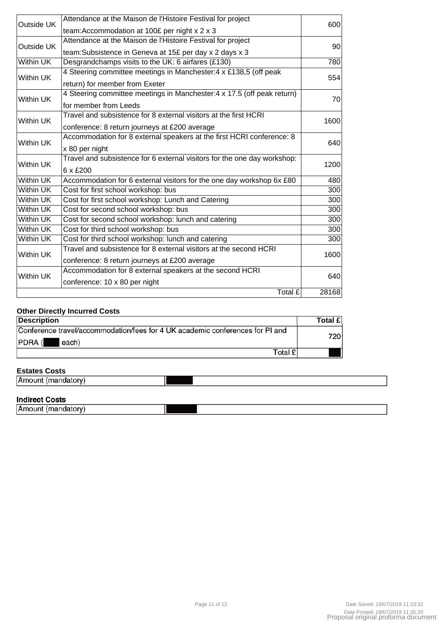| Outside UK       | Attendance at the Maison de l'Histoire Festival for project              | 600              |  |
|------------------|--------------------------------------------------------------------------|------------------|--|
|                  | team: Accommodation at 100£ per night x 2 x 3                            |                  |  |
| Outside UK       | Attendance at the Maison de l'Histoire Festival for project              | 90               |  |
|                  | team: Subsistence in Geneva at 15£ per day x 2 days x 3                  |                  |  |
| <b>Within UK</b> | Desgrandchamps visits to the UK: 6 airfares (£130)                       | 780              |  |
| <b>Within UK</b> | 4 Steering committee meetings in Manchester: 4 x £138,5 (off peak        | 554              |  |
|                  | return) for member from Exeter                                           |                  |  |
| <b>Within UK</b> | 4 Steering committee meetings in Manchester: 4 x 17.5 (off peak return)  | 70               |  |
|                  | for member from Leeds                                                    |                  |  |
|                  | Travel and subsistence for 8 external visitors at the first HCRI         |                  |  |
| <b>Within UK</b> | conference: 8 return journeys at £200 average                            | 1600             |  |
|                  | Accommodation for 8 external speakers at the first HCRI conference: 8    |                  |  |
| Within UK        | x 80 per night                                                           | 640              |  |
|                  | Travel and subsistence for 6 external visitors for the one day workshop: |                  |  |
| Within UK        | 6 x £200                                                                 | 1200             |  |
| <b>Within UK</b> | Accommodation for 6 external visitors for the one day workshop 6x £80    | 480              |  |
| Within UK        | Cost for first school workshop: bus                                      | $\overline{3}00$ |  |
| Within UK        | Cost for first school workshop: Lunch and Catering                       | 300              |  |
| Within UK        | Cost for second school workshop: bus                                     | 300              |  |
| Within UK        | Cost for second school workshop: lunch and catering                      | 300              |  |
| Within UK        | Cost for third school workshop: bus                                      | 300              |  |
| <b>Within UK</b> | Cost for third school workshop: lunch and catering                       | 300              |  |
| Within UK        | Travel and subsistence for 8 external visitors at the second HCRI        | 1600             |  |
|                  | conference: 8 return journeys at £200 average                            |                  |  |
|                  | Accommodation for 8 external speakers at the second HCRI                 | 640              |  |
|                  | Within UK<br>conference: 10 x 80 per night                               |                  |  |
|                  | Total £                                                                  | 28168            |  |

### **Other Directly Incurred Costs**

| <b>Description</b>                                                                               | <b>Total £</b> |
|--------------------------------------------------------------------------------------------------|----------------|
| Conference travel/accommodation/fees for 4 UK academic conferences for PI and<br>PDRA (<br>each) | 720            |
| Total £                                                                                          |                |

### **Estates Costs**

| Lalal <del>c</del> a UUala |  |
|----------------------------|--|
| ıА                         |  |

### **Indirect Costs**

| …w…vv. vvow           |  |
|-----------------------|--|
| Amount<br>umangarory: |  |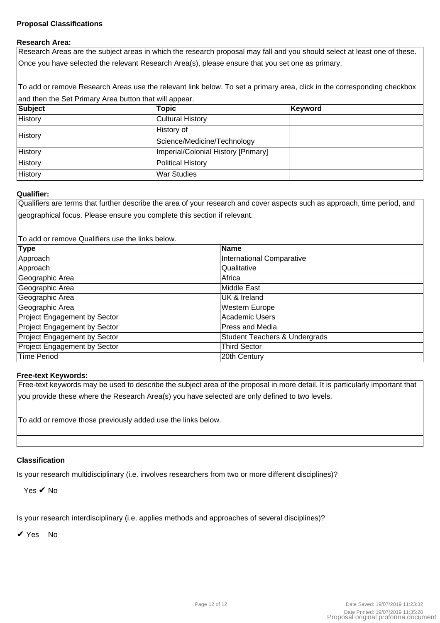### **Proposal Classifications**

#### **Research Area:**

Research Areas are the subject areas in which the research proposal may fall and you should select at least one of these. Once you have selected the relevant Research Area(s), please ensure that you set one as primary.

To add or remove Research Areas use the relevant link below. To set a primary area, click in the corresponding checkbox and then the Set Primary Area button that will appear.

| Subject | Topic                               | Keyword |
|---------|-------------------------------------|---------|
| History | Cultural History                    |         |
| History | History of                          |         |
|         | Science/Medicine/Technology         |         |
| History | Imperial/Colonial History [Primary] |         |
| History | Political History                   |         |
| History | <b>War Studies</b>                  |         |

### **Qualifier:**

Qualifiers are terms that further describe the area of your research and cover aspects such as approach, time period, and geographical focus. Please ensure you complete this section if relevant.

To add or remove Qualifiers use the links below.

| <b>Type</b>                         | <b>Name</b>                              |
|-------------------------------------|------------------------------------------|
| Approach                            | International Comparative                |
| Approach                            | Qualitative                              |
| Geographic Area                     | Africa                                   |
| Geographic Area                     | Middle East                              |
| Geographic Area                     | UK & Ireland                             |
| Geographic Area                     | Western Europe                           |
| Project Engagement by Sector        | Academic Users                           |
| Project Engagement by Sector        | Press and Media                          |
| <b>Project Engagement by Sector</b> | <b>Student Teachers &amp; Undergrads</b> |
| Project Engagement by Sector        | <b>Third Sector</b>                      |
| <b>Time Period</b>                  | 20th Century                             |

### **Free-text Keywords:**

Free-text keywords may be used to describe the subject area of the proposal in more detail. It is particularly important that you provide these where the Research Area(s) you have selected are only defined to two levels.

To add or remove those previously added use the links below.

### **Classification**

Is your research multidisciplinary (i.e. involves researchers from two or more different disciplines)?

Yes ✔ No

Is your research interdisciplinary (i.e. applies methods and approaches of several disciplines)?

✔ Yes No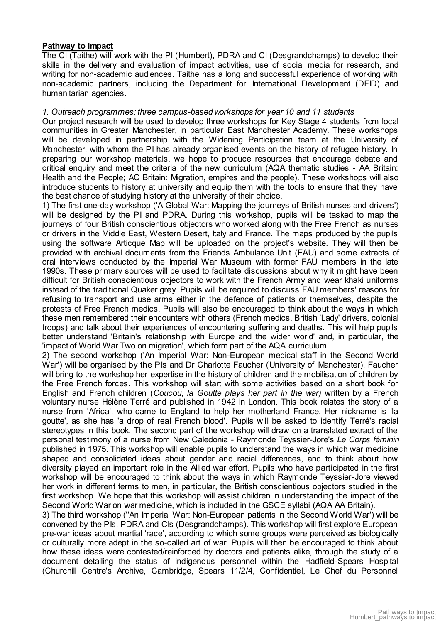### **Pathway to Impact**

The CI (Taithe) will work with the PI (Humbert), PDRA and CI (Desgrandchamps) to develop their skills in the delivery and evaluation of impact activities, use of social media for research, and writing for non-academic audiences. Taithe has a long and successful experience of working with non-academic partners, including the Department for International Development (DFID) and humanitarian agencies.

### *1. Outreach programmes: three campus-based workshops for year 10 and 11 students*

Our project research will be used to develop three workshops for Key Stage 4 students from local communities in Greater Manchester, in particular East Manchester Academy. These workshops will be developed in partnership with the Widening Participation team at the University of Manchester, with whom the PI has already organised events on the history of refugee history. In preparing our workshop materials, we hope to produce resources that encourage debate and critical enquiry and meet the criteria of the new curriculum (AQA thematic studies - AA Britain: Health and the People; AC Britain: Migration, empires and the people). These workshops will also introduce students to history at university and equip them with the tools to ensure that they have the best chance of studying history at the university of their choice.

1) The first one-day workshop ('A Global War: Mapping the journeys of British nurses and drivers') will be designed by the PI and PDRA. During this workshop, pupils will be tasked to map the journeys of four British conscientious objectors who worked along with the Free French as nurses or drivers in the Middle East, Western Desert, Italy and France. The maps produced by the pupils using the software Articque Map will be uploaded on the project's website. They will then be provided with archival documents from the Friends Ambulance Unit (FAU) and some extracts of oral interviews conducted by the Imperial War Museum with former FAU members in the late 1990s. These primary sources will be used to facilitate discussions about why it might have been difficult for British conscientious objectors to work with the French Army and wear khaki uniforms instead of the traditional Quaker grey. Pupils will be required to discuss FAU members' reasons for refusing to transport and use arms either in the defence of patients or themselves, despite the protests of Free French medics. Pupils will also be encouraged to think about the ways in which these men remembered their encounters with others (French medics, British 'Lady' drivers, colonial troops) and talk about their experiences of encountering suffering and deaths. This will help pupils better understand 'Britain's relationship with Europe and the wider world' and, in particular, the 'impact of World War Two on migration', which form part of the AQA curriculum.

2) The second workshop ('An Imperial War: Non-European medical staff in the Second World War') will be organised by the PIs and Dr Charlotte Faucher (University of Manchester). Faucher will bring to the workshop her expertise in the history of children and the mobilisation of children by the Free French forces. This workshop will start with some activities based on a short book for English and French children (*Coucou, la Goutte plays her part in the war)* written by a French voluntary nurse Hélène Terré and published in 1942 in London. This book relates the story of a nurse from 'Africa', who came to England to help her motherland France. Her nickname is 'la goutte', as she has 'a drop of real French blood'. Pupils will be asked to identify Terré's racial stereotypes in this book. The second part of the workshop will draw on a translated extract of the personal testimony of a nurse from New Caledonia - Raymonde Teyssier-Jore's *Le Corps féminin* published in 1975. This workshop will enable pupils to understand the ways in which war medicine shaped and consolidated ideas about gender and racial differences, and to think about how diversity played an important role in the Allied war effort. Pupils who have participated in the first workshop will be encouraged to think about the ways in which Raymonde Teyssier-Jore viewed her work in different terms to men, in particular, the British conscientious objectors studied in the first workshop. We hope that this workshop will assist children in understanding the impact of the Second World War on war medicine, which is included in the GSCE syllabi (AQA AA Britain).

3) The third workshop (''An Imperial War: Non-European patients in the Second World War') will be convened by the PIs, PDRA and CIs (Desgrandchamps). This workshop will first explore European pre-war ideas about martial 'race', according to which some groups were perceived as biologically or culturally more adept in the so-called art of war. Pupils will then be encouraged to think about how these ideas were contested/reinforced by doctors and patients alike, through the study of a document detailing the status of indigenous personnel within the Hadfield-Spears Hospital (Churchill Centre's Archive, Cambridge, Spears 11/2/4, Confidentiel, Le Chef du Personnel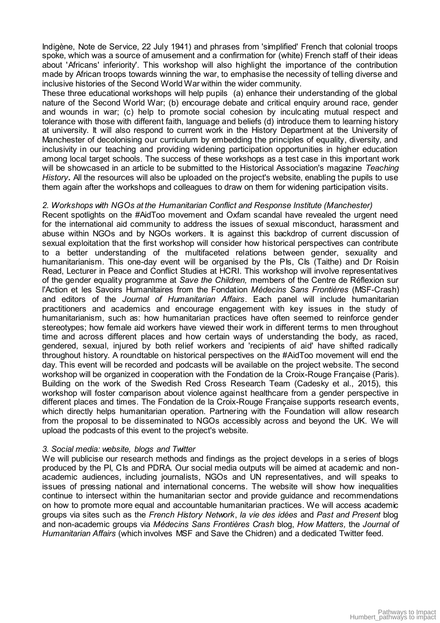Indigène, Note de Service, 22 July 1941) and phrases from 'simplified' French that colonial troops spoke, which was a source of amusement and a confirmation for (white) French staff of their ideas about 'Africans' inferiority'. This workshop will also highlight the importance of the contribution made by African troops towards winning the war, to emphasise the necessity of telling diverse and inclusive histories of the Second World War within the wider community.

These three educational workshops will help pupils (a) enhance their understanding of the global nature of the Second World War; (b) encourage debate and critical enquiry around race, gender and wounds in war; (c) help to promote social cohesion by inculcating mutual respect and tolerance with those with different faith, language and beliefs (d) introduce them to learning history at university. It will also respond to current work in the History Department at the University of Manchester of decolonising our curriculum by embedding the principles of equality, diversity, and inclusivity in our teaching and providing widening participation opportunities in higher education among local target schools. The success of these workshops as a test case in this important work will be showcased in an article to be submitted to the Historical Association's magazine *Teaching History.* All the resources will also be uploaded on the project's website, enabling the pupils to use them again after the workshops and colleagues to draw on them for widening participation visits.

### *2. Workshops with NGOs at the Humanitarian Conflict and Response Institute (Manchester)*

Recent spotlights on the #AidToo movement and Oxfam scandal have revealed the urgent need for the international aid community to address the issues of sexual misconduct, harassment and abuse within NGOs and by NGOs workers. It is against this backdrop of current discussion of sexual exploitation that the first workshop will consider how historical perspectives can contribute to a better understanding of the multifaceted relations between gender, sexuality and humanitarianism. This one-day event will be organised by the PIs, CIs (Taithe) and Dr Roisin Read, Lecturer in Peace and Conflict Studies at HCRI. This workshop will involve representatives of the gender equality programme at *Save the Children,* members of the Centre de Réflexion sur l'Action et les Savoirs Humanitaires from the Fondation *Médecins Sans Frontières* (MSF-Crash) and editors of the *Journal of Humanitarian Affairs*. Each panel will include humanitarian practitioners and academics and encourage engagement with key issues in the study of humanitarianism, such as: how humanitarian practices have often seemed to reinforce gender stereotypes; how female aid workers have viewed their work in different terms to men throughout time and across different places and how certain ways of understanding the body, as raced, gendered, sexual, injured by both relief workers and 'recipients of aid' have shifted radically throughout history. A roundtable on historical perspectives on the #AidToo movement will end the day. This event will be recorded and podcasts will be available on the project website. The second workshop will be organized in cooperation with the Fondation de la Croix-Rouge Française (Paris). Building on the work of the Swedish Red Cross Research Team (Cadesky et al., 2015), this workshop will foster comparison about violence against healthcare from a gender perspective in different places and times. The Fondation de la Croix-Rouge Française supports research events, which directly helps humanitarian operation. Partnering with the Foundation will allow research from the proposal to be disseminated to NGOs accessibly across and beyond the UK. We will upload the podcasts of this event to the project's website.

### *3. Social media: website, blogs and Twitter*

We will publicise our research methods and findings as the project develops in a series of blogs produced by the PI, CIs and PDRA. Our social media outputs will be aimed at academic and nonacademic audiences, including journalists, NGOs and UN representatives, and will speaks to issues of pressing national and international concerns. The website will show how inequalities continue to intersect within the humanitarian sector and provide guidance and recommendations on how to promote more equal and accountable humanitarian practices. We will access academic groups via sites such as the *French History Network*, *la vie des idées* and *Past and Present* blog and non-academic groups via *Médecins Sans Frontières Crash* blog, *How Matters,* the *Journal of Humanitarian Affairs* (which involves MSF and Save the Chidren) and a dedicated Twitter feed.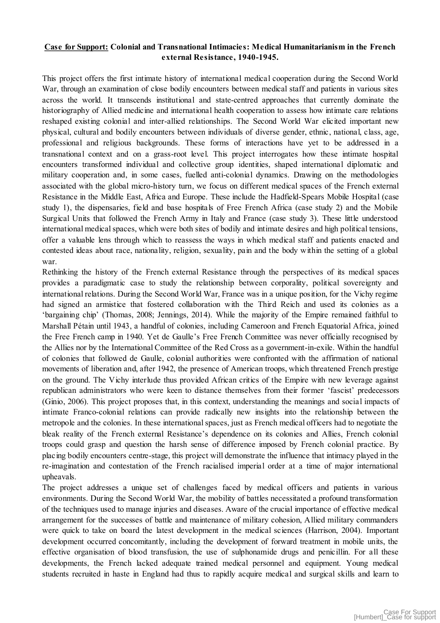### **Case for Support: Colonial and Transnational Intimacies: Medical Humanitarianism in the French external Resistance, 1940-1945.**

This project offers the first intimate history of international medical cooperation during the Second World War, through an examination of close bodily encounters between medical staff and patients in various sites across the world. It transcends institutional and state-centred approaches that currently dominate the historiography of Allied medicine and international health cooperation to assess how intimate care relations reshaped existing colonial and inter-allied relationships. The Second World War elicited important new physical, cultural and bodily encounters between individuals of diverse gender, ethnic, national, class, age, professional and religious backgrounds. These forms of interactions have yet to be addressed in a transnational context and on a grass-root level. This project interrogates how these intimate hospital encounters transformed individual and collective group identities, shaped international diplomatic and military cooperation and, in some cases, fuelled anti-colonial dynamics. Drawing on the methodologies associated with the global micro-history turn, we focus on different medical spaces of the French external Resistance in the Middle East, Africa and Europe. These include the Hadfield-Spears Mobile Hospital (case study 1), the dispensaries, field and base hospitals of Free French Africa (case study 2) and the Mobile Surgical Units that followed the French Army in Italy and France (case study 3). These little understood international medical spaces, which were both sites of bodily and intimate desires and high political tensions, offer a valuable lens through which to reassess the ways in which medical staff and patients enacted and contested ideas about race, nationality, religion, sexuality, pain and the body within the setting of a global war.

Rethinking the history of the French external Resistance through the perspectives of its medical spaces provides a paradigmatic case to study the relationship between corporality, political sovereignty and international relations. During the Second World War, France was in a unique position, for the Vichy regime had signed an armistice that fostered collaboration with the Third Reich and used its colonies as a 'bargaining chip' (Thomas, 2008; Jennings, 2014). While the majority of the Empire remained faithful to Marshall Pétain until 1943, a handful of colonies, including Cameroon and French Equatorial Africa, joined the Free French camp in 1940. Yet de Gaulle's Free French Committee was never officially recognised by the Allies nor by the International Committee of the Red Cross as a government-in-exile. Within the handful of colonies that followed de Gaulle, colonial authorities were confronted with the affirmation of national movements of liberation and, after 1942, the presence of American troops, which threatened French prestige on the ground. The Vichy interlude thus provided African critics of the Empire with new leverage against republican administrators who were keen to distance themselves from their former 'fascist' predecessors (Ginio, 2006). This project proposes that, in this context, understanding the meanings and social impacts of intimate Franco-colonial relations can provide radically new insights into the relationship between the metropole and the colonies. In these international spaces, just as French medical officers had to negotiate the bleak reality of the French external Resistance's dependence on its colonies and Allies, French colonial troops could grasp and question the harsh sense of difference imposed by French colonial practice. By placing bodily encounters centre-stage, this project will demonstrate the influence that intimacy played in the re-imagination and contestation of the French racialised imperial order at a time of major international upheavals.

The project addresses a unique set of challenges faced by medical officers and patients in various environments. During the Second World War, the mobility of battles necessitated a profound transformation of the techniques used to manage injuries and diseases. Aware of the crucial importance of effective medical arrangement for the successes of battle and maintenance of military cohesion, Allied military commanders were quick to take on board the latest development in the medical sciences (Harrison, 2004). Important development occurred concomitantly, including the development of forward treatment in mobile units, the effective organisation of blood transfusion, the use of sulphonamide drugs and penicillin. For all these developments, the French lacked adequate trained medical personnel and equipment. Young medical students recruited in haste in England had thus to rapidly acquire medical and surgical skills and learn to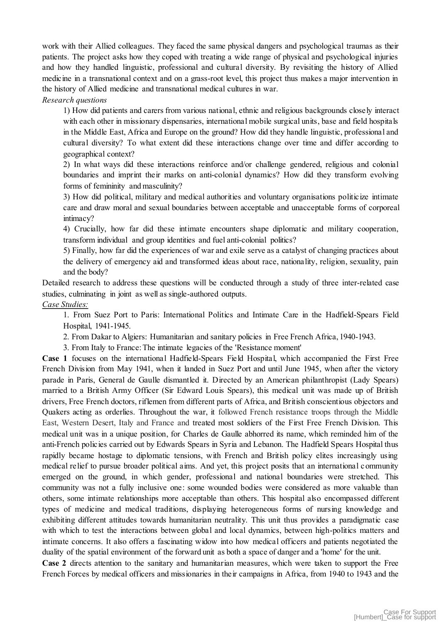work with their Allied colleagues. They faced the same physical dangers and psychological traumas as their patients. The project asks how they coped with treating a wide range of physical and psychological injuries and how they handled linguistic, professional and cultural diversity. By revisiting the history of Allied medicine in a transnational context and on a grass-root level, this project thus makes a major intervention in the history of Allied medicine and transnational medical cultures in war.

### *Research questions*

1) How did patients and carers from various national, ethnic and religious backgrounds closely interact with each other in missionary dispensaries, international mobile surgical units, base and field hospitals in the Middle East, Africa and Europe on the ground? How did they handle linguistic, professional and cultural diversity? To what extent did these interactions change over time and differ according to geographical context?

2) In what ways did these interactions reinforce and/or challenge gendered, religious and colonial boundaries and imprint their marks on anti-colonial dynamics? How did they transform evolving forms of femininity and masculinity?

3) How did political, military and medical authorities and voluntary organisations politicize intimate care and draw moral and sexual boundaries between acceptable and unacceptable forms of corporeal intimacy?

4) Crucially, how far did these intimate encounters shape diplomatic and military cooperation, transform individual and group identities and fuel anti-colonial politics?

5) Finally, how far did the experiences of war and exile serve as a catalyst of changing practices about the delivery of emergency aid and transformed ideas about race, nationality, religion, sexuality, pain and the body?

Detailed research to address these questions will be conducted through a study of three inter-related case studies, culminating in joint as well as single-authored outputs.

*Case Studies:* 

1. From Suez Port to Paris: International Politics and Intimate Care in the Hadfield-Spears Field Hospital, 1941-1945.

2. From Dakar to Algiers: Humanitarian and sanitary policies in Free French Africa, 1940-1943.

3. From Italy to France: The intimate legacies of the 'Resistance moment'

**Case 1** focuses on the international Hadfield-Spears Field Hospital, which accompanied the First Free French Division from May 1941, when it landed in Suez Port and until June 1945, when after the victory parade in Paris, General de Gaulle dismantled it. Directed by an American philanthropist (Lady Spears) married to a British Army Officer (Sir Edward Louis Spears), this medical unit was made up of British drivers, Free French doctors, riflemen from different parts of Africa, and British conscientious objectors and Quakers acting as orderlies. Throughout the war, it followed French resistance troops through the Middle East, Western Desert, Italy and France and treated most soldiers of the First Free French Division. This medical unit was in a unique position, for Charles de Gaulle abhorred its name, which reminded him of the anti-French policies carried out by Edwards Spears in Syria and Lebanon. The Hadfield Spears Hospital thus rapidly became hostage to diplomatic tensions, with French and British policy elites increasingly using medical relief to pursue broader political aims. And yet, this project posits that an international community emerged on the ground, in which gender, professional and national boundaries were stretched. This community was not a fully inclusive one: some wounded bodies were considered as more valuable than others, some intimate relationships more acceptable than others. This hospital also encompassed different types of medicine and medical traditions, displaying heterogeneous forms of nursing knowledge and exhibiting different attitudes towards humanitarian neutrality. This unit thus provides a paradigmatic case with which to test the interactions between global and local dynamics, between high-politics matters and intimate concerns. It also offers a fascinating widow into how medical officers and patients negotiated the duality of the spatial environment of the forward unit as both a space of danger and a 'home' for the unit.

**Case 2** directs attention to the sanitary and humanitarian measures, which were taken to support the Free French Forces by medical officers and missionaries in their campaigns in Africa, from 1940 to 1943 and the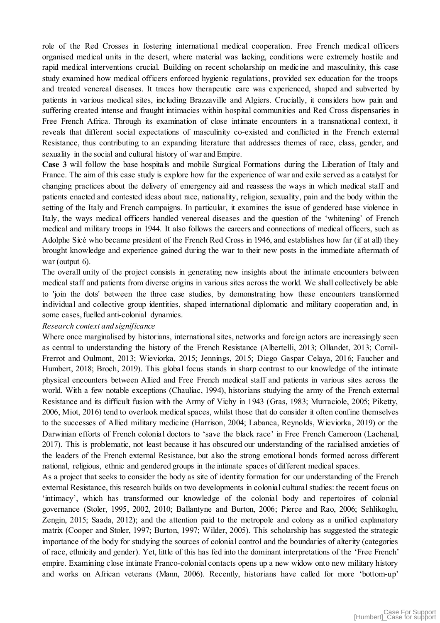role of the Red Crosses in fostering international medical cooperation. Free French medical officers organised medical units in the desert, where material was lacking, conditions were extremely hostile and rapid medical interventions crucial. Building on recent scholarship on medicine and masculinity, this case study examined how medical officers enforced hygienic regulations, provided sex education for the troops and treated venereal diseases. It traces how therapeutic care was experienced, shaped and subverted by patients in various medical sites, including Brazzaville and Algiers. Crucially, it considers how pain and suffering created intense and fraught intimacies within hospital communities and Red Cross dispensaries in Free French Africa. Through its examination of close intimate encounters in a transnational context, it reveals that different social expectations of masculinity co-existed and conflicted in the French external Resistance, thus contributing to an expanding literature that addresses themes of race, class, gender, and sexuality in the social and cultural history of war and Empire.

**Case 3** will follow the base hospitals and mobile Surgical Formations during the Liberation of Italy and France. The aim of this case study is explore how far the experience of war and exile served as a catalyst for changing practices about the delivery of emergency aid and reassess the ways in which medical staff and patients enacted and contested ideas about race, nationality, religion, sexuality, pain and the body within the setting of the Italy and French campaigns. In particular, it examines the issue of gendered base violence in Italy, the ways medical officers handled venereal diseases and the question of the 'whitening' of French medical and military troops in 1944. It also follows the careers and connections of medical officers, such as Adolphe Sicé who became president of the French Red Cross in 1946, and establishes how far (if at all) they brought knowledge and experience gained during the war to their new posts in the immediate aftermath of war (output 6).

The overall unity of the project consists in generating new insights about the intimate encounters between medical staff and patients from diverse origins in various sites across the world. We shall collectively be able to 'join the dots' between the three case studies, by demonstrating how these encounters transformed individual and collective group identities, shaped international diplomatic and military cooperation and, in some cases, fuelled anti-colonial dynamics.

#### *Research context and significance*

Where once marginalised by historians, international sites, networks and foreign actors are increasingly seen as central to understanding the history of the French Resistance (Albertelli, 2013; Ollandet, 2013; Cornil-Frerrot and Oulmont, 2013; Wieviorka, 2015; Jennings, 2015; Diego Gaspar Celaya, 2016; Faucher and Humbert, 2018; Broch, 2019). This global focus stands in sharp contrast to our knowledge of the intimate physical encounters between Allied and Free French medical staff and patients in various sites across the world. With a few notable exceptions (Chauliac, 1994), historians studying the army of the French external Resistance and its difficult fusion with the Army of Vichy in 1943 (Gras, 1983; Murraciole, 2005; Piketty, 2006, Miot, 2016) tend to overlook medical spaces, whilst those that do consider it often confine themselves to the successes of Allied military medicine (Harrison, 2004; Labanca, Reynolds, Wieviorka, 2019) or the Darwinian efforts of French colonial doctors to 'save the black race' in Free French Cameroon (Lachenal, 2017). This is problematic, not least because it has obscured our understanding of the racialised anxieties of the leaders of the French external Resistance, but also the strong emotional bonds formed across different national, religious, ethnic and gendered groups in the intimate spaces of different medical spaces.

As a project that seeks to consider the body as site of identity formation for our understanding of the French external Resistance, this research builds on two developments in colonial cultural studies: the recent focus on 'intimacy', which has transformed our knowledge of the colonial body and repertoires of colonial governance (Stoler, 1995, 2002, 2010; Ballantyne and Burton, 2006; Pierce and Rao, 2006; Sehlikoglu, Zengin, 2015; Saada, 2012); and the attention paid to the metropole and colony as a unified explanatory matrix (Cooper and Stoler, 1997; Burton, 1997; Wilder, 2005). This scholarship has suggested the strategic importance of the body for studying the sources of colonial control and the boundaries of alterity (categories of race, ethnicity and gender). Yet, little of this has fed into the dominant interpretations of the 'Free French' empire. Examining close intimate Franco-colonial contacts opens up a new widow onto new military history and works on African veterans (Mann, 2006). Recently, historians have called for more 'bottom-up'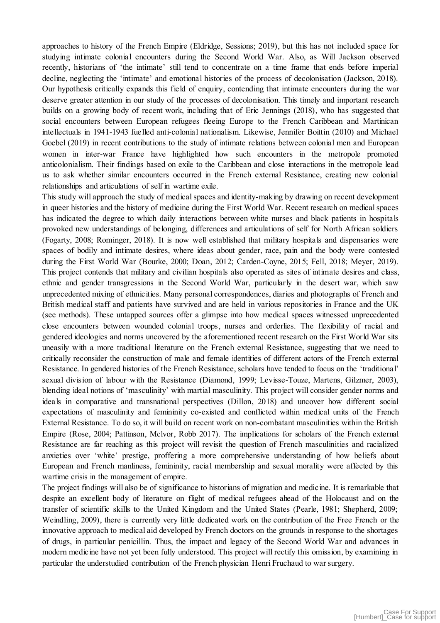approaches to history of the French Empire (Eldridge, Sessions; 2019), but this has not included space for studying intimate colonial encounters during the Second World War. Also, as Will Jackson observed recently, historians of 'the intimate' still tend to concentrate on a time frame that ends before imperial decline, neglecting the 'intimate' and emotional histories of the process of decolonisation (Jackson, 2018). Our hypothesis critically expands this field of enquiry, contending that intimate encounters during the war deserve greater attention in our study of the processes of decolonisation. This timely and important research builds on a growing body of recent work, including that of Eric Jennings (2018), who has suggested that social encounters between European refugees fleeing Europe to the French Caribbean and Martinican intellectuals in 1941-1943 fuelled anti-colonial nationalism. Likewise, Jennifer Boittin (2010) and Michael Goebel (2019) in recent contributions to the study of intimate relations between colonial men and European women in inter-war France have highlighted how such encounters in the metropole promoted anticolonialism. Their findings based on exile to the Caribbean and close interactions in the metropole lead us to ask whether similar encounters occurred in the French external Resistance, creating new colonial relationships and articulations of self in wartime exile.

This study will approach the study of medical spaces and identity-making by drawing on recent development in queer histories and the history of medicine during the First World War. Recent research on medical spaces has indicated the degree to which daily interactions between white nurses and black patients in hospitals provoked new understandings of belonging, differences and articulations of self for North African soldiers (Fogarty, 2008; Rominger, 2018). It is now well established that military hospitals and dispensaries were spaces of bodily and intimate desires, where ideas about gender, race, pain and the body were contested during the First World War (Bourke, 2000; Doan, 2012; Carden-Coyne, 2015; Fell, 2018; Meyer, 2019). This project contends that military and civilian hospitals also operated as sites of intimate desires and class, ethnic and gender transgressions in the Second World War, particularly in the desert war, which saw unprecedented mixing of ethnicities. Many personal correspondences, diaries and photographs of French and British medical staff and patients have survived and are held in various repositories in France and the UK (see methods). These untapped sources offer a glimpse into how medical spaces witnessed unprecedented close encounters between wounded colonial troops, nurses and orderlies. The flexibility of racial and gendered ideologies and norms uncovered by the aforementioned recent research on the First World War sits uneasily with a more traditional literature on the French external Resistance, suggesting that we need to critically reconsider the construction of male and female identities of different actors of the French external Resistance. In gendered histories of the French Resistance, scholars have tended to focus on the 'traditional' sexual division of labour with the Resistance (Diamond, 1999; Levisse-Touze, Martens, Gilzmer, 2003), blending ideal notions of 'masculinity' with martial masculinity. This project will consider gender norms and ideals in comparative and transnational perspectives (Dillon, 2018) and uncover how different social expectations of masculinity and femininity co-existed and conflicted within medical units of the French External Resistance. To do so, it will build on recent work on non-combatant masculinities within the British Empire (Rose, 2004; Pattinson, Mclvor, Robb 2017). The implications for scholars of the French external Resistance are far reaching as this project will revisit the question of French masculinities and racialized anxieties over 'white' prestige, proffering a more comprehensive understanding of how beliefs about European and French manliness, femininity, racial membership and sexual morality were affected by this wartime crisis in the management of empire.

The project findings will also be of significance to historians of migration and medicine. It is remarkable that despite an excellent body of literature on flight of medical refugees ahead of the Holocaust and on the transfer of scientific skills to the United Kingdom and the United States (Pearle, 1981; Shepherd, 2009; Weindling, 2009), there is currently very little dedicated work on the contribution of the Free French or the innovative approach to medical aid developed by French doctors on the grounds in response to the shortages of drugs, in particular penicillin. Thus, the impact and legacy of the Second World War and advances in modern medicine have not yet been fully understood. This project will rectify this omission, by examining in particular the understudied contribution of the French physician Henri Fruchaud to war surgery.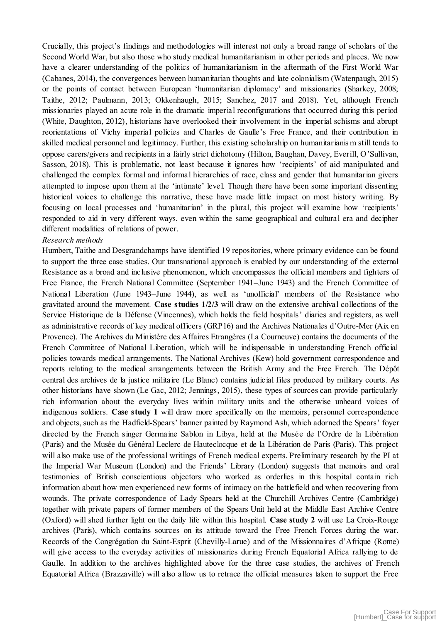Crucially, this project's findings and methodologies will interest not only a broad range of scholars of the Second World War, but also those who study medical humanitarianism in other periods and places. We now have a clearer understanding of the politics of humanitarianism in the aftermath of the First World War (Cabanes, 2014), the convergences between humanitarian thoughts and late colonialism (Watenpaugh, 2015) or the points of contact between European 'humanitarian diplomacy' and missionaries (Sharkey, 2008; Taithe, 2012; Paulmann, 2013; Okkenhaugh, 2015; Sanchez, 2017 and 2018). Yet, although French missionaries played an acute role in the dramatic imperial reconfigurations that occurred during this period (White, Daughton, 2012), historians have overlooked their involvement in the imperial schisms and abrupt reorientations of Vichy imperial policies and Charles de Gaulle's Free France, and their contribution in skilled medical personnel and legitimacy. Further, this existing scholarship on humanitarianis m still tends to oppose carers/givers and recipients in a fairly strict dichotomy (Hilton, Baughan, Davey, Everill, O'Sullivan, Sasson, 2018). This is problematic, not least because it ignores how 'recipients' of aid manipulated and challenged the complex formal and informal hierarchies of race, class and gender that humanitarian givers attempted to impose upon them at the 'intimate' level. Though there have been some important dissenting historical voices to challenge this narrative, these have made little impact on most history writing. By focusing on local processes and 'humanitarian' in the plural, this project will examine how 'recipients' responded to aid in very different ways, even within the same geographical and cultural era and decipher different modalities of relations of power.

### *Research methods*

Humbert, Taithe and Desgrandchamps have identified 19 repositories, where primary evidence can be found to support the three case studies. Our transnational approach is enabled by our understanding of the external Resistance as a broad and inclusive phenomenon, which encompasses the official members and fighters of Free France, the French National Committee (September 1941–June 1943) and the French Committee of National Liberation (June 1943–June 1944), as well as 'unofficial' members of the Resistance who gravitated around the movement*.* **Case studies 1/2/3** will draw on the extensive archival collections of the Service Historique de la Défense (Vincennes), which holds the field hospitals' diaries and registers, as well as administrative records of key medical officers (GRP16) and the Archives Nationales d'Outre-Mer (Aix en Provence). The Archives du Ministère des Affaires Etrangères (La Courneuve) contains the documents of the French Committee of National Liberation, which will be indispensable in understanding French official policies towards medical arrangements. The National Archives (Kew) hold government correspondence and reports relating to the medical arrangements between the British Army and the Free French. The Dépôt central des archives de la justice militaire (Le Blanc) contains judicial files produced by military courts. As other historians have shown (Le Gac, 2012; Jennings, 2015), these types of sources can provide particularly rich information about the everyday lives within military units and the otherwise unheard voices of indigenous soldiers. **Case study 1** will draw more specifically on the memoirs, personnel correspondence and objects, such as the Hadfield-Spears' banner painted by Raymond Ash, which adorned the Spears' foyer directed by the French singer Germaine Sablon in Libya, held at the Musée de l'Ordre de la Libération (Paris) and the Musée du Général Leclerc de Hauteclocque et de la Libération de Paris (Paris). This project will also make use of the professional writings of French medical experts. Preliminary research by the PI at the Imperial War Museum (London) and the Friends' Library (London) suggests that memoirs and oral testimonies of British conscientious objectors who worked as orderlies in this hospital contain rich information about how men experienced new forms of intimacy on the battlefield and when recovering from wounds. The private correspondence of Lady Spears held at the Churchill Archives Centre (Cambridge) together with private papers of former members of the Spears Unit held at the Middle East Archive Centre (Oxford) will shed further light on the daily life within this hospital. **Case study 2** will use La Croix-Rouge archives (Paris), which contains sources on its attitude toward the Free French Forces during the war. Records of the Congrégation du Saint-Esprit (Chevilly-Larue) and of the Missionnaires d'Afrique (Rome) will give access to the everyday activities of missionaries during French Equatorial Africa rallying to de Gaulle. In addition to the archives highlighted above for the three case studies, the archives of French Equatorial Africa (Brazzaville) will also allow us to retrace the official measures taken to support the Free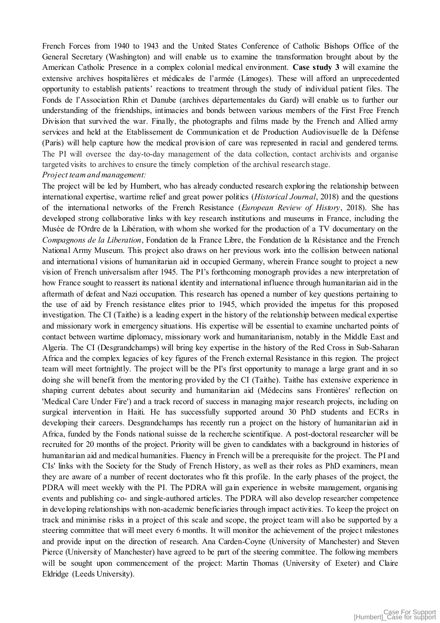French Forces from 1940 to 1943 and the United States Conference of Catholic Bishops Office of the General Secretary (Washington) and will enable us to examine the transformation brought about by the American Catholic Presence in a complex colonial medical environment. **Case study 3** will examine the extensive archives hospitalières et médicales de l'armée (Limoges). These will afford an unprecedented opportunity to establish patients' reactions to treatment through the study of individual patient files. The Fonds de l'Association Rhin et Danube (archives départementales du Gard) will enable us to further our understanding of the friendships, intimacies and bonds between various members of the First Free French Division that survived the war. Finally, the photographs and films made by the French and Allied army services and held at the Etablissement de Communication et de Production Audiovisuelle de la Défense (Paris) will help capture how the medical provision of care was represented in racial and gendered terms. The PI will oversee the day-to-day management of the data collection, contact archivists and organise targeted visits to archives to ensure the timely completion of the archival research stage. *Project team and management:* 

The project will be led by Humbert, who has already conducted research exploring the relationship between international expertise, wartime relief and great power politics (*Historical Journal*, 2018) and the questions of the international networks of the French Resistance (*European Review of History*, 2018). She has developed strong collaborative links with key research institutions and museums in France, including the Musée de l'Ordre de la Libération, with whom she worked for the production of a TV documentary on the *Compagnons de la Liberation*, Fondation de la France Libre, the Fondation de la Résistance and the French National Army Museum. This project also draws on her previous work into the collision between national and international visions of humanitarian aid in occupied Germany, wherein France sought to project a new vision of French universalism after 1945. The PI's forthcoming monograph provides a new interpretation of how France sought to reassert its national identity and international influence through humanitarian aid in the aftermath of defeat and Nazi occupation. This research has opened a number of key questions pertaining to the use of aid by French resistance elites prior to 1945, which provided the impetus for this proposed investigation. The CI (Taithe) is a leading expert in the history of the relationship between medical expertise and missionary work in emergency situations. His expertise will be essential to examine uncharted points of contact between wartime diplomacy, missionary work and humanitarianism, notably in the Middle East and Algeria. The CI (Desgrandchamps) will bring key expertise in the history of the Red Cross in Sub-Saharan Africa and the complex legacies of key figures of the French external Resistance in this region. The project team will meet fortnightly. The project will be the PI's first opportunity to manage a large grant and in so doing she will benefit from the mentoring provided by the CI (Taithe). Taithe has extensive experience in shaping current debates about security and humanitarian aid (Médecins sans Frontières' reflection on 'Medical Care Under Fire') and a track record of success in managing major research projects, including on surgical intervention in Haiti. He has successfully supported around 30 PhD students and ECRs in developing their careers. Desgrandchamps has recently run a project on the history of humanitarian aid in Africa, funded by the Fonds national suisse de la recherche scientifique. A post-doctoral researcher will be recruited for 20 months of the project. Priority will be given to candidates with a background in histories of humanitarian aid and medical humanities. Fluency in French will be a prerequisite for the project. The PI and CIs' links with the Society for the Study of French History, as well as their roles as PhD examiners, mean they are aware of a number of recent doctorates who fit this profile. In the early phases of the project, the PDRA will meet weekly with the PI. The PDRA will gain experience in website management, organising events and publishing co- and single-authored articles. The PDRA will also develop researcher competence in developing relationships with non-academic beneficiaries through impact activities. To keep the project on track and minimise risks in a project of this scale and scope, the project team will also be supported by a steering committee that will meet every 6 months. It will monitor the achievement of the project milestones and provide input on the direction of research. Ana Carden-Coyne (University of Manchester) and Steven Pierce (University of Manchester) have agreed to be part of the steering committee. The following members will be sought upon commencement of the project: Martin Thomas (University of Exeter) and Claire Eldridge (Leeds University).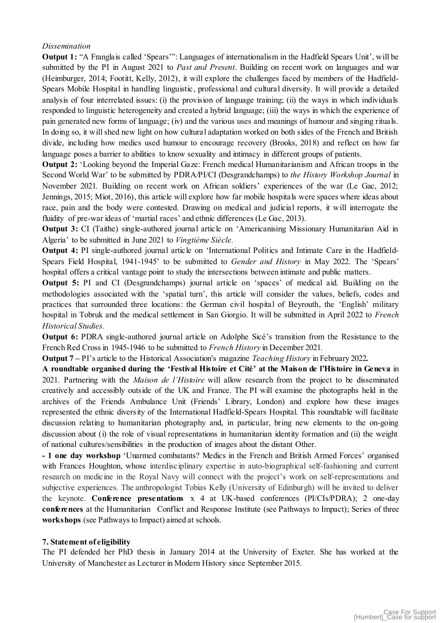### *Dissemination*

**Output 1:** "A Franglais called 'Spears'": Languages of internationalism in the Hadfield Spears Unit', will be submitted by the PI in August 2021 to *Past and Present*. Building on recent work on languages and war (Heimburger, 2014; Footitt, Kelly, 2012), it will explore the challenges faced by members of the Hadfield-Spears Mobile Hospital in handling linguistic, professional and cultural diversity. It will provide a detailed analysis of four interrelated issues: (i) the provision of language training; (ii) the ways in which individuals responded to linguistic heterogeneity and created a hybrid language; (iii) the ways in which the experience of pain generated new forms of language; (iv) and the various uses and meanings of humour and singing rituals. In doing so, it will shed new light on how cultural adaptation worked on both sides of the French and British divide, including how medics used humour to encourage recovery (Brooks, 2018) and reflect on how far language poses a barrier to abilities to know sexuality and intimacy in different groups of patients.

**Output 2:** 'Looking beyond the Imperial Gaze: French medical Humanitarianism and African troops in the Second World War' to be submitted by PDRA/PI/CI (Desgrandchamps) to *the History Workshop Journal* in November 2021. Building on recent work on African soldiers' experiences of the war (Le Gac, 2012; Jennings, 2015; Miot, 2016), this article will explore how far mobile hospitals were spaces where ideas about race, pain and the body were contested. Drawing on medical and judicial reports, it will interrogate the fluidity of pre-war ideas of 'martial races' and ethnic differences (Le Gac, 2013).

**Output 3:** CI (Taithe) single-authored journal article on 'Americanising Missionary Humanitarian Aid in Algeria' to be submitted in June 2021 to *Vingtième Siècle.*

**Output 4:** PI single-authored journal article on 'International Politics and Intimate Care in the Hadfield-Spears Field Hospital, 1941-1945' to be submitted to *Gender and History* in May 2022. The 'Spears' hospital offers a critical vantage point to study the intersections between intimate and public matters.

**Output 5:** PI and CI (Desgrandchamps) journal article on 'spaces' of medical aid. Building on the methodologies associated with the 'spatial turn', this article will consider the values, beliefs, codes and practices that surrounded three locations: the German civil hospital of Beyrouth, the 'English' military hospital in Tobruk and the medical settlement in San Giorgio. It will be submitted in April 2022 to *French Historical Studies.* 

**Output 6:** PDRA single-authored journal article on Adolphe Sicé's transition from the Resistance to the French Red Cross in 1945-1946 to be submitted to *French History* in December 2021*.*

**Output 7 –** PI's article to the Historical Association's magazine *Teaching History* in February 2022*.*

**A roundtable organised during the 'Festival Histoire et Cité' at the Maison de l'Histoire in Geneva** in 2021. Partnering with the *Maison de l'Histoire* will allow research from the project to be disseminated creatively and accessibly outside of the UK and France. The PI will examine the photographs held in the archives of the Friends Ambulance Unit (Friends' Library, London) and explore how these images represented the ethnic diversity of the International Hadfield-Spears Hospital. This roundtable will facilitate discussion relating to humanitarian photography and, in particular, bring new elements to the on-going discussion about (i) the role of visual representations in humanitarian identity formation and (ii) the weight of national cultures/sensibilities in the production of images about the distant Other.

**- 1 one day workshop** 'Unarmed combatants? Medics in the French and British Armed Forces' organised with Frances Houghton, whose interdisciplinary expertise in auto-biographical self-fashioning and current research on medicine in the Royal Navy will connect with the project's work on self-representations and subjective experiences. The anthropologist Tobias Kelly (University of Edinburgh) will be invited to deliver the keynote. **Conference presentations** x 4 at UK-based conferences (PI/CIs/PDRA); 2 one-day **conferences** at the Humanitarian Conflict and Response Institute (see Pathways to Impact); Series of three **workshops** (see Pathways to Impact) aimed at schools.

### **7. Statement of eligibility**

The PI defended her PhD thesis in January 2014 at the University of Exeter. She has worked at the University of Manchester as Lecturer in Modern History since September 2015.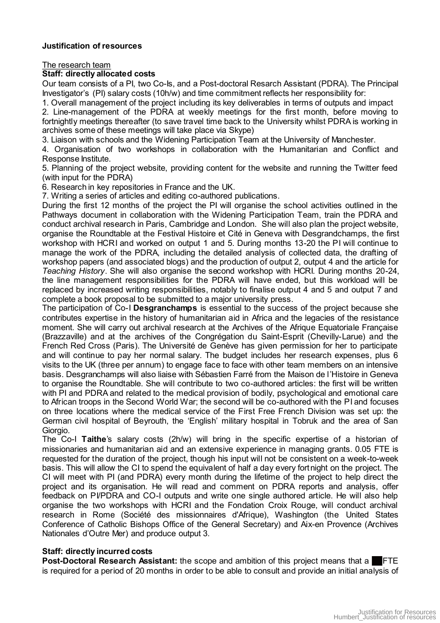### **Justification of resources**

The research team

### **Staff: directly allocated costs**

Our team consists of a PI, two Co-Is, and a Post-doctoral Resarch Assistant (PDRA). The Principal Investigator's (PI) salary costs (10h/w) and time commitment reflects her responsibility for:

1. Overall management of the project including its key deliverables in terms of outputs and impact

2. Line-management of the PDRA at weekly meetings for the first month, before moving to fortnightly meetings thereafter (to save travel time back to the University whilst PDRA is working in archives some of these meetings will take place via Skype)

3. Liaison with schools and the Widening Participation Team at the University of Manchester.

4. Organisation of two workshops in collaboration with the Humanitarian and Conflict and Response Institute.

5. Planning of the project website, providing content for the website and running the Twitter feed (with input for the PDRA)

6. Research in key repositories in France and the UK.

7. Writing a series of articles and editing co-authored publications.

During the first 12 months of the project the PI will organise the school activities outlined in the Pathways document in collaboration with the Widening Participation Team, train the PDRA and conduct archival research in Paris, Cambridge and London. She will also plan the project website*,* organise the Roundtable at the Festival Histoire et Cité in Geneva with Desgrandchamps, the first workshop with HCRI and worked on output 1 and 5. During months 13-20 the PI will continue to manage the work of the PDRA, including the detailed analysis of collected data, the drafting of workshop papers (and associated blogs) and the production of output 2, output 4 and the article for *Teaching History*. She will also organise the second workshop with HCRI. During months 20-24, the line management responsibilities for the PDRA will have ended, but this workload will be replaced by increased writing responsibilities, notably to finalise output 4 and 5 and output 7 and complete a book proposal to be submitted to a major university press.

The participation of Co-I **Desgranchamps** is essential to the success of the project because she contributes expertise in the history of humanitarian aid in Africa and the legacies of the resistance moment. She will carry out archival research at the Archives of the Afrique Equatoriale Française (Brazzaville) and at the archives of the Congrégation du Saint-Esprit (Chevilly-Larue) and the French Red Cross (Paris). The Université de Genève has given permission for her to participate and will continue to pay her normal salary. The budget includes her research expenses, plus 6 visits to the UK (three per annum) to engage face to face with other team members on an intensive basis. Desgranchamps will also liaise with Sébastien Farré from the Maison de l'Histoire in Geneva to organise the Roundtable. She will contribute to two co-authored articles: the first will be written with PI and PDRA and related to the medical provision of bodily, psychological and emotional care to African troops in the Second World War; the second will be co-authored with the PI and focuses on three locations where the medical service of the First Free French Division was set up: the German civil hospital of Beyrouth, the 'English' military hospital in Tobruk and the area of San Giorgio.

The Co-I **Taithe**'s salary costs (2h/w) will bring in the specific expertise of a historian of missionaries and humanitarian aid and an extensive experience in managing grants. 0.05 FTE is requested for the duration of the project, though his input will not be consistent on a week-to-week basis. This will allow the CI to spend the equivalent of half a day every fortnight on the project. The CI will meet with PI (and PDRA) every month during the lifetime of the project to help direct the project and its organisation. He will read and comment on PDRA reports and analysis, offer feedback on PI/PDRA and CO-I outputs and write one single authored article. He will also help organise the two workshops with HCRI and the Fondation Croix Rouge, will conduct archival research in Rome (Société des missionnaires d'Afrique), Washington (the United States Conference of Catholic Bishops Office of the General Secretary) and Aix-en Provence (Archives Nationales d'Outre Mer) and produce output 3.

# **Staff: directly incurred costs**

**Post-Doctoral Research Assistant:** the scope and ambition of this project means that a FTE is required for a period of 20 months in order to be able to consult and provide an initial analysis of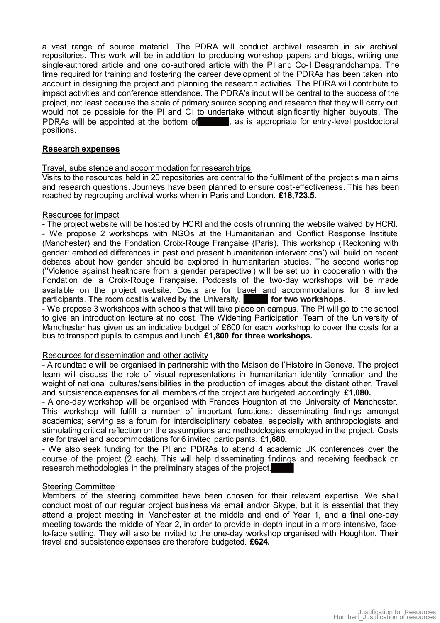a vast range of source material. The PDRA will conduct archival research in six archival repositories. This work will be in addition to producing workshop papers and blogs, writing one single-authored article and one co-authored article with the PI and Co-I Desgrandchamps. The time required for training and fostering the career development of the PDRAs has been taken into account in designing the project and planning the research activities. The PDRA will contribute to impact activities and conference attendance. The PDRA's input will be central to the success of the project, not least because the scale of primary source scoping and research that they will carry out would not be possible for the PI and CI to undertake without significantly higher buyouts. The PDRAs will be appointed at the bottom of , as is appropriate for entry-level postdoctoral positions.

# **Research expenses**

### Travel, subsistence and accommodation for research trips

Visits to the resources held in 20 repositories are central to the fulfilment of the project's main aims and research questions. Journeys have been planned to ensure cost-effectiveness. This has been reached by regrouping archival works when in Paris and London. **£18,723.5.** 

### Resources for impact

- The project website will be hosted by HCRI and the costs of running the website waived by HCRI. - We propose 2 workshops with NGOs at the Humanitarian and Conflict Response Institute (Manchester) and the Fondation Croix-Rouge Française (Paris). This workshop ('Reckoning with gender: embodied differences in past and present humanitarian interventions') will build on recent debates about how gender should be explored in humanitarian studies. The second workshop (''Violence against healthcare from a gender perspective') will be set up in cooperation with the Fondation de la Croix-Rouge Française. Podcasts of the two-day workshops will be made available on the project website. Costs are for travel and accommodations for 8 invited participants. The room cost is waived by the University. **for two workshops.**

- We propose 3 workshops with schools that will take place on campus. The PI will go to the school to give an introduction lecture at no cost. The Widening Participation Team of the University of Manchester has given us an indicative budget of £600 for each workshop to cover the costs for a bus to transport pupils to campus and lunch. **£1,800 for three workshops.** 

### Resources for dissemination and other activity

- A roundtable will be organised in partnership with the Maison de l'Histoire in Geneva. The project team will discuss the role of visual representations in humanitarian identity formation and the weight of national cultures/sensibilities in the production of images about the distant other. Travel and subsistence expenses for all members of the project are budgeted accordingly. **£1,080.**

- A one-day workshop will be organised with Frances Houghton at the University of Manchester. This workshop will fulfill a number of important functions: disseminating findings amongst academics; serving as a forum for interdisciplinary debates, especially with anthropologists and stimulating critical reflection on the assumptions and methodologies employed in the project. Costs are for travel and accommodations for 6 invited participants. **£1,680.**

- We also seek funding for the PI and PDRAs to attend 4 academic UK conferences over the course of the project (2 each). This will help disseminating findings and receiving feedback on research methodologies in the preliminary stages of the project.

# Steering Committee

Members of the steering committee have been chosen for their relevant expertise. We shall conduct most of our regular project business via email and/or Skype, but it is essential that they attend a project meeting in Manchester at the middle and end of Year 1, and a final one-day meeting towards the middle of Year 2, in order to provide in-depth input in a more intensive, faceto-face setting. They will also be invited to the one-day workshop organised with Houghton. Their travel and subsistence expenses are therefore budgeted. **£624.**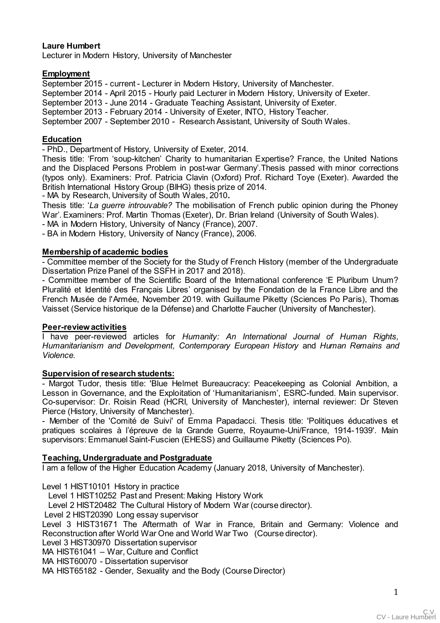# **Laure Humbert**

Lecturer in Modern History, University of Manchester

### **Employment**

September 2015 - current - Lecturer in Modern History, University of Manchester.

September 2014 - April 2015 - Hourly paid Lecturer in Modern History, University of Exeter.

September 2013 - June 2014 - Graduate Teaching Assistant, University of Exeter.

September 2013 - February 2014 - University of Exeter, INTO, History Teacher.

September 2007 - September 2010 - Research Assistant, University of South Wales.

### **Education**

- PhD., Department of History, University of Exeter, 2014.

Thesis title: 'From 'soup-kitchen' Charity to humanitarian Expertise? France, the United Nations and the Displaced Persons Problem in post-war Germany'.Thesis passed with minor corrections (typos only). Examiners: Prof. Patricia Clavin (Oxford) Prof. Richard Toye (Exeter). Awarded the British International History Group (BIHG) thesis prize of 2014.

- MA by Research, University of South Wales, 2010**.**

Thesis title: '*La guerre introuvable?* The mobilisation of French public opinion during the Phoney War'. Examiners: Prof. Martin Thomas (Exeter), Dr. Brian Ireland (University of South Wales).

- MA in Modern History, University of Nancy (France), 2007.

- BA in Modern History, University of Nancy (France), 2006.

### **Membership of academic bodies**

- Committee member of the Society for the Study of French History (member of the Undergraduate Dissertation Prize Panel of the SSFH in 2017 and 2018).

- Committee member of the Scientific Board of the International conference 'E Pluribum Unum? Pluralité et Identité des Français Libres' organised by the Fondation de la France Libre and the French Musée de l'Armée, November 2019. with Guillaume Piketty (Sciences Po Paris), Thomas Vaisset (Service historique de la Défense) and Charlotte Faucher (University of Manchester).

# **Peer-review activities**

I have peer-reviewed articles for *Humanity: An International Journal of Human Rights, Humanitarianism and Development, Contemporary European History* and *Human Remains and Violence.* 

### **Supervision of research students:**

- Margot Tudor, thesis title: 'Blue Helmet Bureaucracy: Peacekeeping as Colonial Ambition, a Lesson in Governance, and the Exploitation of 'Humanitarianism', ESRC-funded. Main supervisor. Co-supervisor: Dr. Roisin Read (HCRI, University of Manchester), internal reviewer: Dr Steven Pierce (History, University of Manchester).

- Member of the 'Comité de Suivi' of Emma Papadacci. Thesis title: 'Politiques éducatives et pratiques scolaires à l'épreuve de la Grande Guerre, Royaume-Uni/France, 1914-1939'. Main supervisors: Emmanuel Saint-Fuscien (EHESS) and Guillaume Piketty (Sciences Po).

# **Teaching, Undergraduate and Postgraduate**

I am a fellow of the Higher Education Academy (January 2018, University of Manchester).

Level 1 HIST10101 History in practice

Level 1 HIST10252 Past and Present: Making History Work

Level 2 HIST20482 The Cultural History of Modern War (course director).

Level 2 HIST20390 Long essay supervisor

Level 3 HIST31671 The Aftermath of War in France, Britain and Germany: Violence and Reconstruction after World War One and World War Two (Course director).

Level 3 HIST30970 Dissertation supervisor

MA HIST61041 - War, Culture and Conflict

MA HIST60070 - Dissertation supervisor

MA HIST65182 - Gender, Sexuality and the Body (Course Director)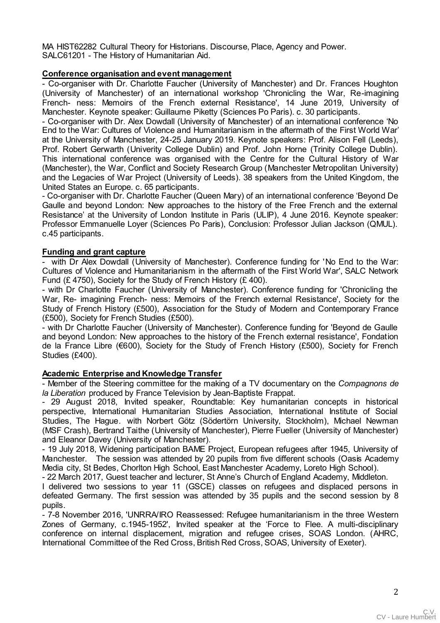MA HIST62282 Cultural Theory for Historians. Discourse, Place, Agency and Power. SALC61201 - The History of Humanitarian Aid.

# **Conference organisation and event management**

- Co-organiser with Dr. Charlotte Faucher (University of Manchester) and Dr. Frances Houghton (University of Manchester) of an international workshop 'Chronicling the War, Re-imagining French- ness: Memoirs of the French external Resistance', 14 June 2019, University of Manchester. Keynote speaker: Guillaume Piketty (Sciences Po Paris). c. 30 participants.

- Co-organiser with Dr. Alex Dowdall (University of Manchester) of an international conference 'No End to the War: Cultures of Violence and Humanitarianism in the aftermath of the First World War' at the University of Manchester, 24-25 January 2019. Keynote speakers: Prof. Alison Fell (Leeds), Prof. Robert Gerwarth (Univerity College Dublin) and Prof. John Horne (Trinity College Dublin). This international conference was organised with the Centre for the Cultural History of War (Manchester), the War, Conflict and Society Research Group (Manchester Metropolitan University) and the Legacies of War Project (University of Leeds). 38 speakers from the United Kingdom, the United States an Europe. c. 65 participants.

- Co-organiser with Dr. Charlotte Faucher (Queen Mary) of an international conference 'Beyond De Gaulle and beyond London: New approaches to the history of the Free French and the external Resistance' at the University of London Institute in Paris (ULIP), 4 June 2016. Keynote speaker: Professor Emmanuelle Loyer (Sciences Po Paris), Conclusion: Professor Julian Jackson (QMUL). c.45 participants.

# **Funding and grant capture**

with Dr Alex Dowdall (University of Manchester). Conference funding for 'No End to the War: Cultures of Violence and Humanitarianism in the aftermath of the First World War', SALC Network Fund (£ 4750), Society for the Study of French History (£ 400).

- with Dr Charlotte Faucher (University of Manchester). Conference funding for 'Chronicling the War, Re- imagining French- ness: Memoirs of the French external Resistance', Society for the Study of French History (£500), Association for the Study of Modern and Contemporary France (£500), Society for French Studies (£500).

- with Dr Charlotte Faucher (University of Manchester). Conference funding for 'Beyond de Gaulle and beyond London: New approaches to the history of the French external resistance', Fondation de la France Libre (€600), Society for the Study of French History (£500), Society for French Studies (£400).

# **Academic Enterprise and Knowledge Transfer**

- Member of the Steering committee for the making of a TV documentary on the *Compagnons de la Liberation* produced by France Television by Jean-Baptiste Frappat.

- 29 August 2018, Invited speaker, Roundtable: Key humanitarian concepts in historical perspective, International Humanitarian Studies Association, International Institute of Social Studies, The Hague. with Norbert Götz (Södertörn University, Stockholm), Michael Newman (MSF Crash), Bertrand Taithe (University of Manchester), Pierre Fueller (University of Manchester) and Eleanor Davey (University of Manchester).

- 19 July 2018, Widening participation BAME Project, European refugees after 1945, University of Manchester. The session was attended by 20 pupils from five different schools (Oasis Academy Media city, St Bedes, Chorlton High School, East Manchester Academy, Loreto High School).

- 22 March 2017, Guest teacher and lecturer, St Anne's Church of England Academy, Middleton.

I delivered two sessions to year 11 (GSCE) classes on refugees and displaced persons in defeated Germany. The first session was attended by 35 pupils and the second session by 8 pupils.

- 7-8 November 2016, 'UNRRA/IRO Reassessed: Refugee humanitarianism in the three Western Zones of Germany, c.1945-1952', Invited speaker at the 'Force to Flee. A multi-disciplinary conference on internal displacement, migration and refugee crises, SOAS London. (AHRC, International Committee of the Red Cross, British Red Cross, SOAS, University of Exeter).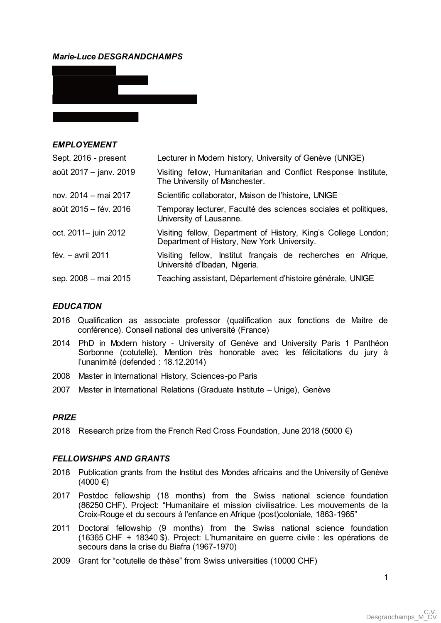# *Marie-Luce DESGRANDCHAMPS*



| <i>EMPLOYEMENT</i>     |                                                                                                               |
|------------------------|---------------------------------------------------------------------------------------------------------------|
| Sept. 2016 - present   | Lecturer in Modern history, University of Genève (UNIGE)                                                      |
| août 2017 – janv. 2019 | Visiting fellow, Humanitarian and Conflict Response Institute,<br>The University of Manchester.               |
| nov. 2014 - mai 2017   | Scientific collaborator, Maison de l'histoire, UNIGE                                                          |
| août 2015 – fév. 2016  | Temporay lecturer, Faculté des sciences sociales et politiques,<br>University of Lausanne.                    |
| oct. 2011- juin 2012   | Visiting fellow, Department of History, King's College London;<br>Department of History, New York University. |
| fév. $-$ avril 2011    | Visiting fellow, Institut français de recherches en Afrique,<br>Université d'Ibadan, Nigeria.                 |
| sep. 2008 – mai 2015   | Teaching assistant, Département d'histoire générale, UNIGE                                                    |
|                        |                                                                                                               |

### *EDUCATION*

 $BIDL$  $QV$  $FII$  $FII$ 

- 2016 Qualification as associate professor (qualification aux fonctions de Maitre de conférence). Conseil national des université (France)
- 2014 PhD in Modern history University of Genève and University Paris 1 Panthéon Sorbonne (cotutelle). Mention très honorable avec les félicitations du jury à l'unanimité (defended : 18.12.2014)
- 2008 Master in International History, Sciences-po Paris
- 2007 Master in International Relations (Graduate Institute Unige), Genève

#### *PRIZE*

2018 Research prize from the French Red Cross Foundation, June 2018 (5000  $\epsilon$ )

### *FELLOWSHIPS AND GRANTS*

- 2018 Publication grants from the Institut des Mondes africains and the University of Genève  $(4000)$  €)
- 2017 Postdoc fellowship (18 months) from the Swiss national science foundation (86250 CHF). Project: "Humanitaire et mission civilisatrice. Les mouvements de la Croix-Rouge et du secours à l'enfance en Afrique (post)coloniale, 1863-1965"
- 2011 Doctoral fellowship (9 months) from the Swiss national science foundation (16365 CHF + 18340 \$). Project: L'humanitaire en guerre civile : les opérations de secours dans la crise du Biafra (1967-1970)
- 2009 Grant for "cotutelle de thèse" from Swiss universities (10000 CHF)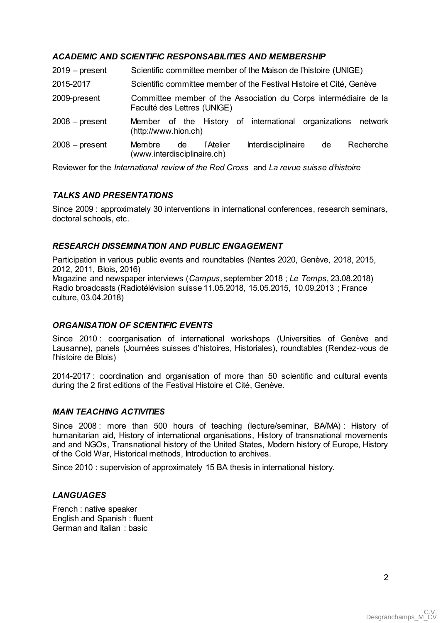# *ACADEMIC AND SCIENTIFIC RESPONSABILITIES AND MEMBERSHIP*

| $2019$ – present | Scientific committee member of the Maison de l'histoire (UNIGE)                                    |
|------------------|----------------------------------------------------------------------------------------------------|
| 2015-2017        | Scientific committee member of the Festival Histoire et Cité, Genève                               |
| 2009-present     | Committee member of the Association du Corps intermédiaire de la<br>Faculté des Lettres (UNIGE)    |
| $2008 - present$ | Member of the History of international organizations network<br>(http://www.hion.ch)               |
| $2008 - present$ | Recherche<br>Interdisciplinaire<br>Membre<br>l'Atelier<br>de<br>de.<br>(www.interdisciplinaire.ch) |

Reviewer for the *International review of the Red Cross* and *La revue suisse d'histoire*

# *TALKS AND PRESENTATIONS*

Since 2009 : approximately 30 interventions in international conferences, research seminars, doctoral schools, etc.

# *RESEARCH DISSEMINATION AND PUBLIC ENGAGEMENT*

Participation in various public events and roundtables (Nantes 2020, Genève, 2018, 2015, 2012, 2011, Blois, 2016) Magazine and newspaper interviews (*Campus*, september 2018 ; *Le Temps*, 23.08.2018)

Radio broadcasts (Radiotélévision suisse 11.05.2018, 15.05.2015, 10.09.2013 ; France culture, 03.04.2018)

# *ORGANISATION OF SCIENTIFIC EVENTS*

Since 2010 : coorganisation of international workshops (Universities of Genève and Lausanne), panels (Journées suisses d'histoires, Historiales), roundtables (Rendez-vous de l'histoire de Blois)

2014-2017 : coordination and organisation of more than 50 scientific and cultural events during the 2 first editions of the Festival Histoire et Cité, Genève.

# *MAIN TEACHING ACTIVITIES*

Since 2008 : more than 500 hours of teaching (lecture/seminar, BA/MA) : History of humanitarian aid, History of international organisations, History of transnational movements and and NGOs, Transnational history of the United States, Modern history of Europe, History of the Cold War, Historical methods, Introduction to archives.

Since 2010 : supervision of approximately 15 BA thesis in international history.

# *LANGUAGES*

French : native speaker English and Spanish : fluent German and Italian : basic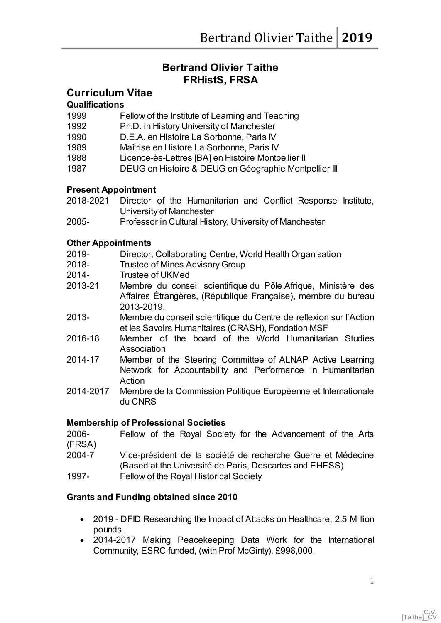# **Bertrand Olivier Taithe FRHistS, FRSA**

# **Curriculum Vitae**

# **Qualifications**

- 1999 Fellow of the Institute of Learning and Teaching
- 1992 Ph.D. in History University of Manchester
- 1990 D.E.A. en Histoire La Sorbonne, Paris IV
- 1989 Maîtrise en Histore La Sorbonne, Paris IV
- 1988 Licence-ès-Lettres [BA] en Histoire Montpellier III
- 1987 DEUG en Histoire & DEUG en Géographie Montpellier III

# **Present Appointment**

- 2018-2021 Director of the Humanitarian and Conflict Response Institute, University of Manchester
- 2005- Professor in Cultural History, University of Manchester

# **Other Appointments**

- 2019- Director, Collaborating Centre, World Health Organisation
- 2018- Trustee of Mines Advisory Group
- 2014- Trustee of UKMed
- 2013-21 Membre du conseil scientifique du Pôle Afrique, Ministère des Affaires Étrangères, (République Française), membre du bureau 2013-2019.
- 2013- Membre du conseil scientifique du Centre de reflexion sur l'Action et les Savoirs Humanitaires (CRASH), Fondation MSF
- 2016-18 Member of the board of the World Humanitarian Studies Association
- 2014-17 Member of the Steering Committee of ALNAP Active Learning Network for Accountability and Performance in Humanitarian Action
- 2014-2017 Membre de la Commission Politique Européenne et Internationale du CNRS

# **Membership of Professional Societies**

2006- Fellow of the Royal Society for the Advancement of the Arts (FRSA)

- 2004-7 Vice-président de la société de recherche Guerre et Médecine (Based at the Université de Paris, Descartes and EHESS)
- 1997- Fellow of the Royal Historical Society

# **Grants and Funding obtained since 2010**

- 2019 DFID Researching the Impact of Attacks on Healthcare, 2.5 Million pounds.
- 2014-2017 Making Peacekeeping Data Work for the International Community, ESRC funded, (with Prof McGinty), £998,000.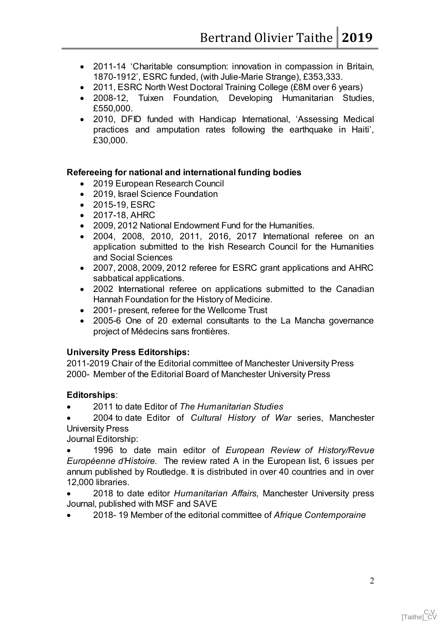- 2011-14 'Charitable consumption: innovation in compassion in Britain, 1870-1912', ESRC funded, (with Julie-Marie Strange), £353,333.
- 2011, ESRC North West Doctoral Training College (£8M over 6 years)
- 2008-12, Tuixen Foundation, Developing Humanitarian Studies, £550,000.
- 2010, DFID funded with Handicap International, 'Assessing Medical practices and amputation rates following the earthquake in Haiti', £30,000.

# **Refereeing for national and international funding bodies**

- 2019 European Research Council
- 2019, Israel Science Foundation
- 2015-19, ESRC
- 2017-18, AHRC
- 2009, 2012 National Endowment Fund for the Humanities.
- 2004, 2008, 2010, 2011, 2016, 2017 International referee on an application submitted to the Irish Research Council for the Humanities and Social Sciences
- 2007, 2008, 2009, 2012 referee for ESRC grant applications and AHRC sabbatical applications.
- 2002 International referee on applications submitted to the Canadian Hannah Foundation for the History of Medicine.
- 2001- present, referee for the Wellcome Trust
- 2005-6 One of 20 external consultants to the La Mancha governance project of Médecins sans frontières.

# **University Press Editorships:**

2011-2019 Chair of the Editorial committee of Manchester University Press 2000- Member of the Editorial Board of Manchester University Press

# **Editorships**:

2011 to date Editor of *The Humanitarian Studies*

 2004 to date Editor of *Cultural History of War* series, Manchester University Press

Journal Editorship:

 1996 to date main editor of *European Review of History/Revue Européenne d'Histoire.* The review rated A in the European list, 6 issues per annum published by Routledge. It is distributed in over 40 countries and in over 12,000 libraries.

 2018 to date editor *Humanitarian Affairs,* Manchester University press Journal, published with MSF and SAVE

2018- 19 Member of the editorial committee of *Afrique Contemporaine*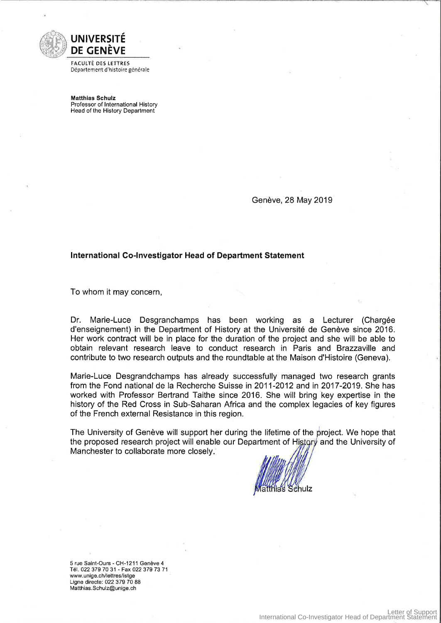

**FACULTÉ DES LETTRES** Département d'histoire générale

**Matthias Schulz** Professor of International History Head of the History Department

Genève, 28 May 2019

#### International Co-Investigator Head of Department Statement

To whom it may concern,

Marie-Luce Desgranchamps has been working as a Lecturer (Chargée Dr. d'enseignement) in the Department of History at the Université de Genève since 2016. Her work contract will be in place for the duration of the project and she will be able to obtain relevant research leave to conduct research in Paris and Brazzaville and contribute to two research outputs and the roundtable at the Maison d'Histoire (Geneva).

Marie-Luce Desgrandchamps has already successfully managed two research grants from the Fond national de la Recherche Suisse in 2011-2012 and in 2017-2019. She has worked with Professor Bertrand Taithe since 2016. She will bring key expertise in the history of the Red Cross in Sub-Saharan Africa and the complex legacies of key figures of the French external Resistance in this region.

The University of Genève will support her during the lifetime of the project. We hope that the proposed research project will enable our Department of History and the University of Manchester to collaborate more closely.

5 rue Saint-Ours - CH-1211 Genève 4 Tél. 022 379 70 31 - Fax 022 379 73 71 www.unige.ch/lettres/istge Ligne directe: 022 379 70 88 Matthias.Schulz@unige.ch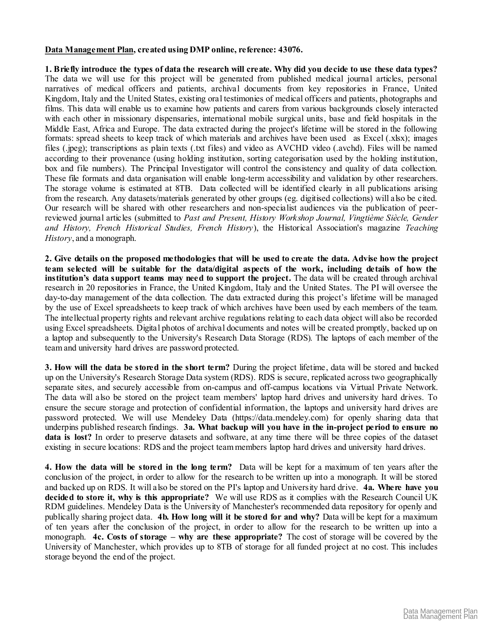### **Data Management Plan, created using DMP online, reference: 43076.**

**1. Briefly introduce the types of data the research will create. Why did you decide to use these data types?**  The data we will use for this project will be generated from published medical journal articles, personal narratives of medical officers and patients, archival documents from key repositories in France, United Kingdom, Italy and the United States, existing oral testimonies of medical officers and patients, photographs and films. This data will enable us to examine how patients and carers from various backgrounds closely interacted with each other in missionary dispensaries, international mobile surgical units, base and field hospitals in the Middle East, Africa and Europe. The data extracted during the project's lifetime will be stored in the following formats: spread sheets to keep track of which materials and archives have been used as Excel (.xlsx); images files (.jpeg); transcriptions as plain texts (.txt files) and video as AVCHD video (.avchd). Files will be named according to their provenance (using holding institution, sorting categorisation used by the holding institution, box and file numbers). The Principal Investigator will control the consistency and quality of data collection. These file formats and data organisation will enable long-term accessibility and validation by other researchers. The storage volume is estimated at 8TB. Data collected will be identified clearly in all publications arising from the research. Any datasets/materials generated by other groups (eg. digitised collections) will also be cited. Our research will be shared with other researchers and non-specialist audiences via the publication of peerreviewed journal articles (submitted to *Past and Present, History Workshop Journal, Vingtième Siècle, Gender and History, French Historical Studies, French History*), the Historical Association's magazine *Teaching History*, and a monograph.

**2. Give details on the proposed methodologies that will be used to create the data. Advise how the project team selected will be suitable for the data/digital aspects of the work, including details of how the institution's data support teams may need to support the project.** The data will be created through archival research in 20 repositories in France, the United Kingdom, Italy and the United States. The PI will oversee the day-to-day management of the data collection. The data extracted during this project's lifetime will be managed by the use of Excel spreadsheets to keep track of which archives have been used by each members of the team. The intellectual property rights and relevant archive regulations relating to each data object will also be recorded using Excel spreadsheets. Digital photos of archival documents and notes will be created promptly, backed up on a laptop and subsequently to the University's Research Data Storage (RDS). The laptops of each member of the team and university hard drives are password protected.

**3. How will the data be stored in the short term?** During the project lifetime, data will be stored and backed up on the University's Research Storage Data system (RDS). RDS is secure, replicated across two geographically separate sites, and securely accessible from on-campus and off-campus locations via Virtual Private Network. The data will also be stored on the project team members' laptop hard drives and university hard drives. To ensure the secure storage and protection of confidential information, the laptops and university hard drives are password protected. We will use Mendeley Data (https://data.mendeley.com) for openly sharing data that underpins published research findings. **3a. What backup will you have in the in-project period to ensure no data is lost?** In order to preserve datasets and software, at any time there will be three copies of the dataset existing in secure locations: RDS and the project team members laptop hard drives and university hard drives.

**4. How the data will be stored in the long term?** Data will be kept for a maximum of ten years after the conclusion of the project, in order to allow for the research to be written up into a monograph. It will be stored and backed up on RDS. It will also be stored on the PI's laptop and University hard drive. **4a. Where have you decided to store it, why is this appropriate?** We will use RDS as it complies with the Research Council UK RDM guidelines. Mendeley Data is the University of Manchester's recommended data repository for openly and publically sharing project data. **4b. How long will it be stored for and why?** Data will be kept for a maximum of ten years after the conclusion of the project, in order to allow for the research to be written up into a monograph. **4c. Costs of storage – why are these appropriate?** The cost of storage will be covered by the University of Manchester, which provides up to 8TB of storage for all funded project at no cost. This includes storage beyond the end of the project.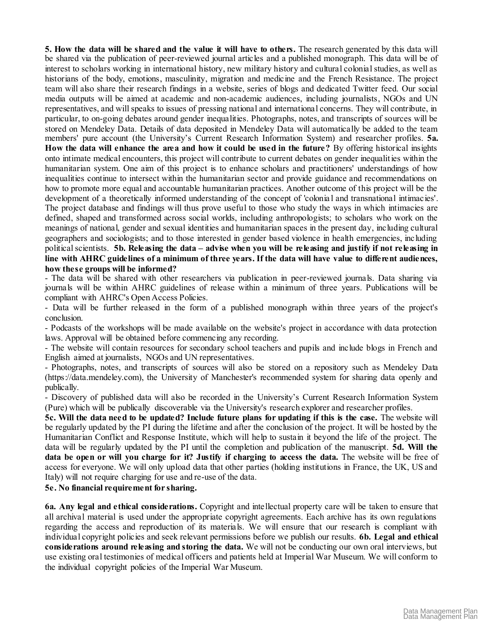**5. How the data will be shared and the value it will have to others.** The research generated by this data will be shared via the publication of peer-reviewed journal articles and a published monograph. This data will be of interest to scholars working in international history, new military history and cultural colonial studies, as well as historians of the body, emotions, masculinity, migration and medicine and the French Resistance. The project team will also share their research findings in a website, series of blogs and dedicated Twitter feed. Our social media outputs will be aimed at academic and non-academic audiences, including journalists, NGOs and UN representatives, and will speaks to issues of pressing national and international concerns. They will contribute, in particular, to on-going debates around gender inequalities. Photographs, notes, and transcripts of sources will be stored on Mendeley Data. Details of data deposited in Mendeley Data will automatically be added to the team members' pure account (the University's Current Research Information System) and researcher profiles. **5a. How the data will enhance the area and how it could be used in the future?** By offering historical insights onto intimate medical encounters, this project will contribute to current debates on gender inequalit ies within the humanitarian system. One aim of this project is to enhance scholars and practitioners' understandings of how inequalities continue to intersect within the humanitarian sector and provide guidance and recommendations on how to promote more equal and accountable humanitarian practices. Another outcome of this project will be the development of a theoretically informed understanding of the concept of 'colonial and transnational intimacies'. The project database and findings will thus prove useful to those who study the ways in which intimacies are defined, shaped and transformed across social worlds, including anthropologists; to scholars who work on the meanings of national, gender and sexual identities and humanitarian spaces in the present day, including cultural geographers and sociologists; and to those interested in gender based violence in health emergencies, including political scientists. **5b. Releasing the data – advise when you will be releasing and justify if not releasing in line with AHRC guidelines of a minimum of three years. If the data will have value to different audiences, how these groups will be informed?** 

- The data will be shared with other researchers via publication in peer-reviewed journals. Data sharing via journals will be within AHRC guidelines of release within a minimum of three years. Publications will be compliant with AHRC's Open Access Policies.

- Data will be further released in the form of a published monograph within three years of the project's conclusion.

- Podcasts of the workshops will be made available on the website's project in accordance with data protection laws. Approval will be obtained before commencing any recording.

- The website will contain resources for secondary school teachers and pupils and include blogs in French and English aimed at journalists, NGOs and UN representatives.

- Photographs, notes, and transcripts of sources will also be stored on a repository such as Mendeley Data (https://data.mendeley.com), the University of Manchester's recommended system for sharing data openly and publically.

- Discovery of published data will also be recorded in the University's Current Research Information System (Pure) which will be publically discoverable via the University's research explorer and researcher profiles.

**5c. Will the data need to be updated? Include future plans for updating if this is the case.** The website will be regularly updated by the PI during the lifetime and after the conclusion of the project. It will be hosted by the Humanitarian Conflict and Response Institute, which will help to sustain it beyond the life of the project. The data will be regularly updated by the PI until the completion and publication of the manuscript. **5d. Will the data be open or will you charge for it? Justify if charging to access the data.** The website will be free of access for everyone. We will only upload data that other parties (holding institutions in France, the UK, US and Italy) will not require charging for use and re-use of the data.

**5e. No financial requirement for sharing.**

**6a. Any legal and ethical considerations.** Copyright and intellectual property care will be taken to ensure that all archival material is used under the appropriate copyright agreements. Each archive has its own regulations regarding the access and reproduction of its materials. We will ensure that our research is compliant with individual copyright policies and seek relevant permissions before we publish our results. **6b. Legal and ethical considerations around releasing and storing the data.** We will not be conducting our own oral interviews, but use existing oral testimonies of medical officers and patients held at Imperial War Museum. We will conform to the individual copyright policies of the Imperial War Museum.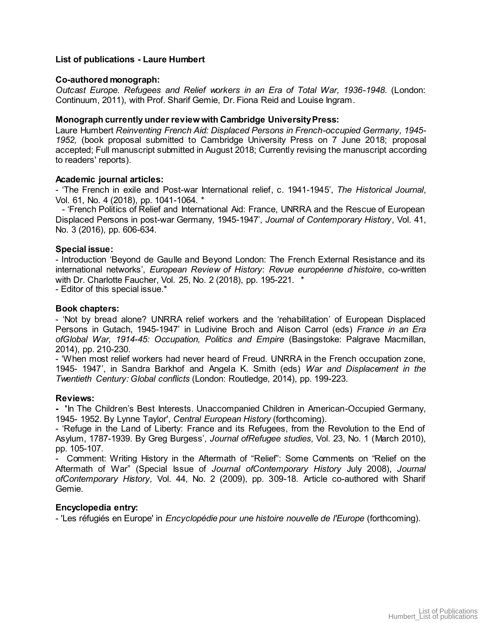### **List of publications - Laure Humbert**

### **Co-authored monograph:**

*Outcast Europe. Refugees and Relief workers in an Era of Total War, 1936-1948*. (London: Continuum, 2011), with Prof. Sharif Gemie, Dr. Fiona Reid and Louise Ingram.

### **Monograph currently under review with Cambridge University Press:**

Laure Humbert *Reinventing French Aid: Displaced Persons in French-occupied Germany, 1945- 1952,* (book proposal submitted to Cambridge University Press on 7 June 2018; proposal accepted; Full manuscript submitted in August 2018; Currently revising the manuscript according to readers' reports).

### **Academic journal articles:**

- 'The French in exile and Post-war International relief, c. 1941-1945', *The Historical Journal*, Vol. 61, No. 4 (2018), pp. 1041-1064. \*

- 'French Politics of Relief and International Aid: France, UNRRA and the Rescue of European Displaced Persons in post-war Germany, 1945-1947', *Journal of Contemporary History*, Vol. 41, No. 3 (2016), pp. 606-634.

### **Special issue:**

- Introduction 'Beyond de Gaulle and Beyond London: The French External Resistance and its international networks', *European Review of History*: *Revue européenne d'histoire*, co-written with Dr. Charlotte Faucher, Vol. 25, No. 2 (2018), pp. 195-221. \*

- Editor of this special issue.\*

### **Book chapters:**

- 'Not by bread alone? UNRRA relief workers and the 'rehabilitation' of European Displaced Persons in Gutach, 1945-1947' in Ludivine Broch and Alison Carrol (eds) *France in an Era ofGlobal War, 1914-45: Occupation, Politics and Empire* (Basingstoke: Palgrave Macmillan, 2014), pp. 210-230.

- 'When most relief workers had never heard of Freud. UNRRA in the French occupation zone, 1945- 1947', in Sandra Barkhof and Angela K. Smith (eds) *War and Displacement in the Twentieth Century: Global conflicts* (London: Routledge, 2014), pp. 199-223.

#### **Reviews:**

**- '**In The Children's Best Interests. Unaccompanied Children in American-Occupied Germany, 1945- 1952. By Lynne Taylor', *Central European History* (forthcoming).

- 'Refuge in the Land of Liberty: France and its Refugees, from the Revolution to the End of Asylum, 1787-1939. By Greg Burgess', *Journal ofRefugee studies,* Vol. 23, No. 1 (March 2010), pp. 105-107.

- Comment: Writing History in the Aftermath of "Relief": Some Comments on "Relief on the Aftermath of War" (Special Issue of *Journal ofContemporary History* July 2008), *Journal ofContemporary History,* Vol. 44, No. 2 (2009), pp. 309-18. Article co-authored with Sharif Gemie.

### **Encyclopedia entry:**

- 'Les réfugiés en Europe' in *Encyclopédie pour une histoire nouvelle de l'Europe* (forthcoming).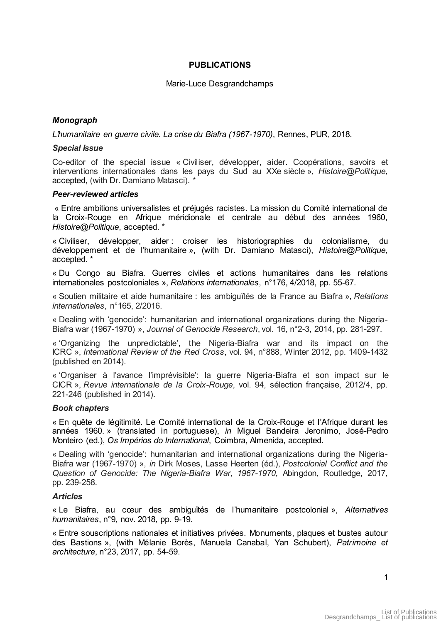### **PUBLICATIONS**

### Marie-Luce Desgrandchamps

# *Monograph*

*L'humanitaire en guerre civile. La crise du Biafra (1967-1970)*, Rennes, PUR, 2018.

### *Special Issue*

Co-editor of the special issue « Civiliser, développer, aider. Coopérations, savoirs et interventions internationales dans les pays du Sud au XXe siècle », *Histoire@Politique*, accepted, (with Dr. Damiano Matasci). \*

### *Peer-reviewed articles*

 « Entre ambitions universalistes et préjugés racistes. La mission du Comité international de la Croix-Rouge en Afrique méridionale et centrale au début des années 1960, *Histoire@Politique*, accepted. \*

« Civiliser, développer, aider : croiser les historiographies du colonialisme, du développement et de l'humanitaire », (with Dr. Damiano Matasci), *Histoire@Politique*, accepted. \*

« Du Congo au Biafra. Guerres civiles et actions humanitaires dans les relations internationales postcoloniales », *Relations internationales*, n°176, 4/2018, pp. 55-67.

« Soutien militaire et aide humanitaire : les ambiguïtés de la France au Biafra », *Relations internationales*, n°165, 2/2016.

« Dealing with 'genocide': humanitarian and international organizations during the Nigeria-Biafra war (1967-1970) », *Journal of Genocide Research*, vol. 16, n°2-3, 2014, pp. 281-297.

« 'Organizing the unpredictable', the Nigeria-Biafra war and its impact on the ICRC », *International Review of the Red Cross*, vol. 94, n°888, Winter 2012, pp. 1409-1432 (published en 2014).

« 'Organiser à l'avance l'imprévisible': la guerre Nigeria-Biafra et son impact sur le CICR », *Revue internationale de la Croix-Rouge*, vol. 94, sélection française, 2012/4, pp. 221-246 (published in 2014).

### *Book chapters*

« En quête de légitimité. Le Comité international de la Croix-Rouge et l'Afrique durant les années 1960. » (translated in portuguese), *in* Miguel Bandeira Jeronimo, José-Pedro Monteiro (ed.), *Os Impérios do International*, Coimbra, Almenida, accepted.

« Dealing with 'genocide': humanitarian and international organizations during the Nigeria-Biafra war (1967-1970) », *in* Dirk Moses, Lasse Heerten (éd.), *Postcolonial Conflict and the Question of Genocide: The Nigeria-Biafra War, 1967-1970*, Abingdon, Routledge, 2017, pp. 239-258.

### *Articles*

« Le Biafra, au cœur des ambiguïtés de l'humanitaire postcolonial », *Alternatives humanitaires*, n°9, nov. 2018, pp. 9-19.

« Entre souscriptions nationales et initiatives privées. Monuments, plaques et bustes autour des Bastions », (with Mélanie Borès, Manuela Canabal, Yan Schubert), *Patrimoine et architecture*, n°23, 2017, pp. 54-59.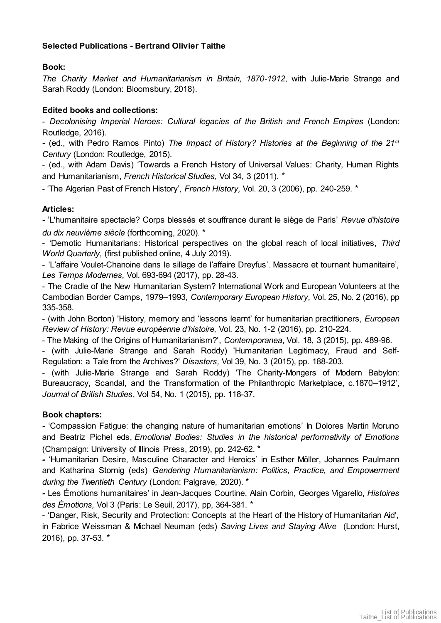# **Selected Publications - Bertrand Olivier Taithe**

# **Book:**

*The Charity Market and Humanitarianism in Britain, 1870-1912*, with Julie-Marie Strange and Sarah Roddy (London: Bloomsbury, 2018).

# **Edited books and collections:**

- *Decolonising Imperial Heroes: Cultural legacies of the British and French Empires* (London: Routledge, 2016).

*-* (ed., with Pedro Ramos Pinto) *The Impact of History? Histories at the Beginning of the 21st Century* (London: Routledge, 2015).

- (ed., with Adam Davis) 'Towards a French History of Universal Values: Charity, Human Rights and Humanitarianism, *French Historical Studies,* Vol 34, 3 (2011). \*

- 'The Algerian Past of French History', *French History,* Vol. 20, 3 (2006), pp. 240-259. \*

# **Articles:**

**-** 'L'humanitaire spectacle? Corps blessés et souffrance durant le siège de Paris' *Revue d'histoire du dix neuvième siècle* (forthcoming, 2020). \*

- 'Demotic Humanitarians: Historical perspectives on the global reach of local initiatives, *Third World Quarterly,* (first published online, 4 July 2019).

- 'L'affaire Voulet-Chanoine dans le sillage de l'affaire Dreyfus'. Massacre et tournant humanitaire', *Les Temps Modernes,* Vol. 693-694 (2017), pp. 28-43.

- The Cradle of the New Humanitarian System? International Work and European Volunteers at the Cambodian Border Camps, 1979–1993, *Contemporary European History,* Vol. 25, No. 2 (2016), pp 335-358.

- (with John Borton) 'History, memory and 'lessons learnt' for humanitarian practitioners, *European Review of History: Revue européenne d'histoire,* Vol. 23, No. 1-2 (2016), pp. 210-224.

- The Making of the Origins of Humanitarianism?', *Contemporanea*, Vol. 18, 3 (2015), pp. 489-96.

- (with Julie-Marie Strange and Sarah Roddy) 'Humanitarian Legitimacy, Fraud and Self-Regulation: a Tale from the Archives?' *Disasters,* Vol 39, No. 3 (2015), pp. 188-203.

- (with Julie-Marie Strange and Sarah Roddy) 'The Charity-Mongers of Modern Babylon: Bureaucracy, Scandal, and the Transformation of the Philanthropic Marketplace, c.1870–1912', *Journal of British Studies*, Vol 54, No. 1 (2015), pp. 118-37.

# **Book chapters:**

**-** 'Compassion Fatigue: the changing nature of humanitarian emotions' In Dolores Martin Moruno and Beatriz Pichel eds, *Emotional Bodies: Studies in the historical performativity of Emotions*  (Champaign: University of Illinois Press, 2019), pp. 242-62. \*

*-* 'Humanitarian Desire, Masculine Character and Heroics' in Esther Möller, Johannes Paulmann and Katharina Stornig (eds) *Gendering Humanitarianism: Politics, Practice, and Empowerment during the Twentieth Century* (London: Palgrave, 2020). \*

*-* Les Émotions humanitaires' in Jean-Jacques Courtine, Alain Corbin, Georges Vigarello, *Histoires des Émotions,* Vol 3 (Paris: Le Seuil, 2017), pp, 364-381. \*

- 'Danger, Risk, Security and Protection: Concepts at the Heart of the History of Humanitarian Aid', in Fabrice Weissman & Michael Neuman (eds) *Saving Lives and Staying Alive* (London: Hurst, 2016), pp. 37-53. \*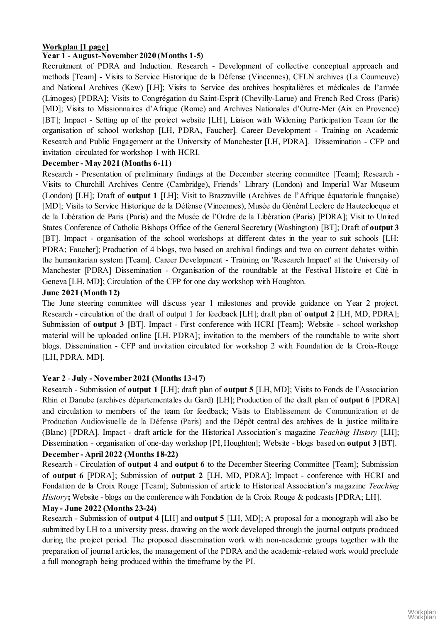# **Workplan [1 page]**

# **Year 1 - August-November 2020 (Months 1-5)**

Recruitment of PDRA and Induction. Research - Development of collective conceptual approach and methods [Team] - Visits to Service Historique de la Défense (Vincennes), CFLN archives (La Courneuve) and National Archives (Kew) [LH]; Visits to Service des archives hospitalières et médicales de l'armée (Limoges) [PDRA]; Visits to Congrégation du Saint-Esprit (Chevilly-Larue) and French Red Cross (Paris) [MD]; Visits to Missionnaires d'Afrique (Rome) and Archives Nationales d'Outre-Mer (Aix en Provence) [BT]; Impact - Setting up of the project website [LH], Liaison with Widening Participation Team for the organisation of school workshop [LH, PDRA, Faucher]. Career Development - Training on Academic Research and Public Engagement at the University of Manchester [LH, PDRA]. Dissemination - CFP and invitation circulated for workshop 1 with HCRI.

# **December - May 2021 (Months 6-11)**

Research - Presentation of preliminary findings at the December steering committee [Team]; Research - Visits to Churchill Archives Centre (Cambridge), Friends' Library (London) and Imperial War Museum (London) [LH]; Draft of **output 1** [LH]; Visit to Brazzaville (Archives de l'Afrique équatoriale française) [MD]; Visits to Service Historique de la Défense (Vincennes), Musée du Général Leclerc de Hauteclocque et de la Libération de Paris (Paris) and the Musée de l'Ordre de la Libération (Paris) [PDRA]; Visit to United States Conference of Catholic Bishops Office of the General Secretary (Washington) [BT]; Draft of **output 3** [BT]. Impact - organisation of the school workshops at different dates in the year to suit schools [LH; PDRA; Faucher]; Production of 4 blogs, two based on archival findings and two on current debates within the humanitarian system [Team]. Career Development - Training on 'Research Impact' at the University of Manchester [PDRA] Dissemination - Organisation of the roundtable at the Festival Histoire et Cité in Geneva [LH, MD]; Circulation of the CFP for one day workshop with Houghton.

# **June 2021 (Month 12)**

The June steering committee will discuss year 1 milestones and provide guidance on Year 2 project. Research - circulation of the draft of output 1 for feedback [LH]; draft plan of **output 2** [LH, MD, PDRA]; Submission of **output 3 [**BT]. Impact - First conference with HCRI [Team]; Website - school workshop material will be uploaded online [LH, PDRA]; invitation to the members of the roundtable to write short blogs. Dissemination - CFP and invitation circulated for workshop 2 with Foundation de la Croix-Rouge [LH, PDRA. MD].

# **Year 2** - **July - November 2021 (Months 13-17)**

Research - Submission of **output 1** [LH]; draft plan of **output 5** [LH, MD]; Visits to Fonds de l'Association Rhin et Danube (archives départementales du Gard) [LH]; Production of the draft plan of **output 6** [PDRA] and circulation to members of the team for feedback; Visits to Etablissement de Communication et de Production Audiovisuelle de la Défense (Paris) and the Dépôt central des archives de la justice militaire (Blanc) [PDRA]. Impact - draft article for the Historical Association's magazine *Teaching History* [LH]; Dissemination - organisation of one-day workshop [PI, Houghton]; Website - blogs based on **output 3** [BT]. **December - April 2022 (Months 18-22)** 

Research - Circulation of **output 4** and **output 6** to the December Steering Committee [Team]; Submission of **output 6** [PDRA]; Submission of **output 2** [LH, MD, PDRA]; Impact - conference with HCRI and Fondation de la Croix Rouge [Team]; Submission of article to Historical Association's magazine *Teaching History***;** Website - blogs on the conference with Fondation de la Croix Rouge & podcasts [PDRA; LH].

# **May - June 2022 (Months 23-24)**

Research - Submission of **output 4** [LH] and **output 5** [LH, MD]; A proposal for a monograph will also be submitted by LH to a university press, drawing on the work developed through the journal outputs produced during the project period. The proposed dissemination work with non-academic groups together with the preparation of journal articles, the management of the PDRA and the academic-related work would preclude a full monograph being produced within the timeframe by the PI.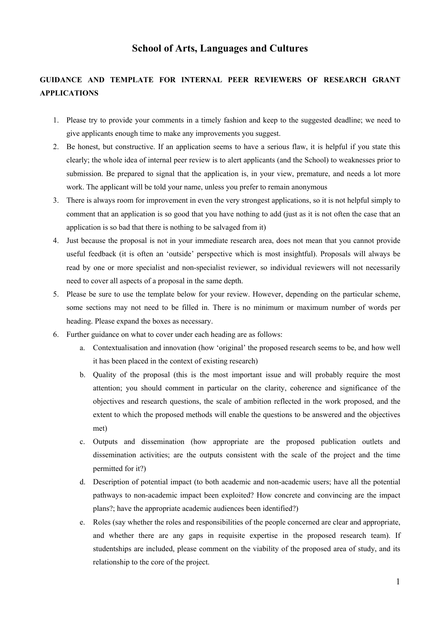# **School of Arts, Languages and Cultures**

# **GUIDANCE AND TEMPLATE FOR INTERNAL PEER REVIEWERS OF RESEARCH GRANT APPLICATIONS**

- 1. Please try to provide your comments in a timely fashion and keep to the suggested deadline; we need to give applicants enough time to make any improvements you suggest.
- 2. Be honest, but constructive. If an application seems to have a serious flaw, it is helpful if you state this clearly; the whole idea of internal peer review is to alert applicants (and the School) to weaknesses prior to submission. Be prepared to signal that the application is, in your view, premature, and needs a lot more work. The applicant will be told your name, unless you prefer to remain anonymous
- 3. There is always room for improvement in even the very strongest applications, so it is not helpful simply to comment that an application is so good that you have nothing to add (just as it is not often the case that an application is so bad that there is nothing to be salvaged from it)
- 4. Just because the proposal is not in your immediate research area, does not mean that you cannot provide useful feedback (it is often an 'outside' perspective which is most insightful). Proposals will always be read by one or more specialist and non-specialist reviewer, so individual reviewers will not necessarily need to cover all aspects of a proposal in the same depth.
- 5. Please be sure to use the template below for your review. However, depending on the particular scheme, some sections may not need to be filled in. There is no minimum or maximum number of words per heading. Please expand the boxes as necessary.
- 6. Further guidance on what to cover under each heading are as follows:
	- a. Contextualisation and innovation (how 'original' the proposed research seems to be, and how well it has been placed in the context of existing research)
	- b. Quality of the proposal (this is the most important issue and will probably require the most attention; you should comment in particular on the clarity, coherence and significance of the objectives and research questions, the scale of ambition reflected in the work proposed, and the extent to which the proposed methods will enable the questions to be answered and the objectives met)
	- c. Outputs and dissemination (how appropriate are the proposed publication outlets and dissemination activities; are the outputs consistent with the scale of the project and the time permitted for it?)
	- d. Description of potential impact (to both academic and non-academic users; have all the potential pathways to non-academic impact been exploited? How concrete and convincing are the impact plans?; have the appropriate academic audiences been identified?)
	- e. Roles (say whether the roles and responsibilities of the people concerned are clear and appropriate, and whether there are any gaps in requisite expertise in the proposed research team). If studentships are included, please comment on the viability of the proposed area of study, and its relationship to the core of the project.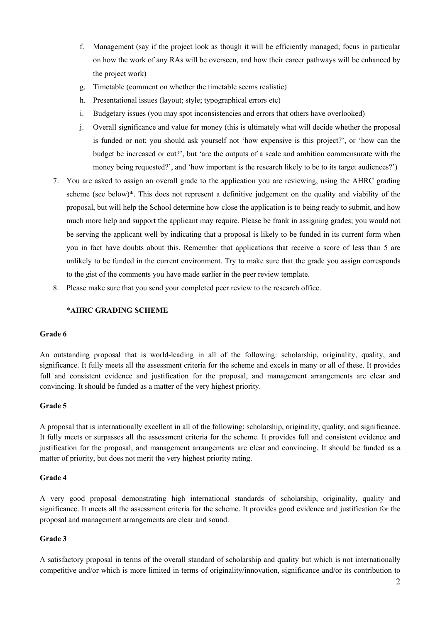- f. Management (say if the project look as though it will be efficiently managed; focus in particular on how the work of any RAs will be overseen, and how their career pathways will be enhanced by the project work)
- g. Timetable (comment on whether the timetable seems realistic)
- h. Presentational issues (layout; style; typographical errors etc)
- i. Budgetary issues (you may spot inconsistencies and errors that others have overlooked)
- j. Overall significance and value for money (this is ultimately what will decide whether the proposal is funded or not; you should ask yourself not 'how expensive is this project?', or 'how can the budget be increased or cut?', but 'are the outputs of a scale and ambition commensurate with the money being requested?', and 'how important is the research likely to be to its target audiences?')
- 7. You are asked to assign an overall grade to the application you are reviewing, using the AHRC grading scheme (see below)\*. This does not represent a definitive judgement on the quality and viability of the proposal, but will help the School determine how close the application is to being ready to submit, and how much more help and support the applicant may require. Please be frank in assigning grades; you would not be serving the applicant well by indicating that a proposal is likely to be funded in its current form when you in fact have doubts about this. Remember that applications that receive a score of less than 5 are unlikely to be funded in the current environment. Try to make sure that the grade you assign corresponds to the gist of the comments you have made earlier in the peer review template.
- 8. Please make sure that you send your completed peer review to the research office.

### \***AHRC GRADING SCHEME**

#### **Grade 6**

An outstanding proposal that is world-leading in all of the following: scholarship, originality, quality, and significance. It fully meets all the assessment criteria for the scheme and excels in many or all of these. It provides full and consistent evidence and justification for the proposal, and management arrangements are clear and convincing. It should be funded as a matter of the very highest priority.

#### **Grade 5**

A proposal that is internationally excellent in all of the following: scholarship, originality, quality, and significance. It fully meets or surpasses all the assessment criteria for the scheme. It provides full and consistent evidence and justification for the proposal, and management arrangements are clear and convincing. It should be funded as a matter of priority, but does not merit the very highest priority rating.

#### **Grade 4**

A very good proposal demonstrating high international standards of scholarship, originality, quality and significance. It meets all the assessment criteria for the scheme. It provides good evidence and justification for the proposal and management arrangements are clear and sound.

### **Grade 3**

A satisfactory proposal in terms of the overall standard of scholarship and quality but which is not internationally competitive and/or which is more limited in terms of originality/innovation, significance and/or its contribution to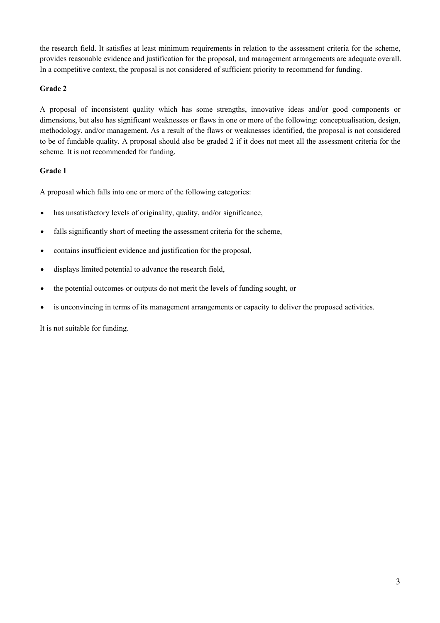the research field. It satisfies at least minimum requirements in relation to the assessment criteria for the scheme, provides reasonable evidence and justification for the proposal, and management arrangements are adequate overall. In a competitive context, the proposal is not considered of sufficient priority to recommend for funding.

### **Grade 2**

A proposal of inconsistent quality which has some strengths, innovative ideas and/or good components or dimensions, but also has significant weaknesses or flaws in one or more of the following: conceptualisation, design, methodology, and/or management. As a result of the flaws or weaknesses identified, the proposal is not considered to be of fundable quality. A proposal should also be graded 2 if it does not meet all the assessment criteria for the scheme. It is not recommended for funding.

### **Grade 1**

A proposal which falls into one or more of the following categories:

- has unsatisfactory levels of originality, quality, and/or significance,
- falls significantly short of meeting the assessment criteria for the scheme,
- contains insufficient evidence and justification for the proposal,
- displays limited potential to advance the research field,
- the potential outcomes or outputs do not merit the levels of funding sought, or
- is unconvincing in terms of its management arrangements or capacity to deliver the proposed activities.

It is not suitable for funding.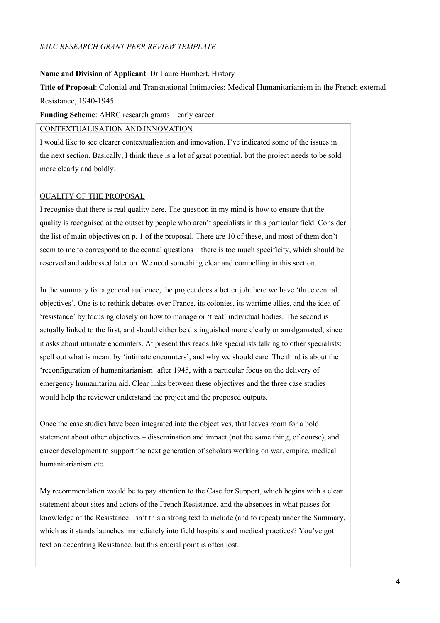### *SALC RESEARCH GRANT PEER REVIEW TEMPLATE*

#### **Name and Division of Applicant**: Dr Laure Humbert, History

**Title of Proposal**: Colonial and Transnational Intimacies: Medical Humanitarianism in the French external Resistance, 1940-1945

**Funding Scheme**: AHRC research grants – early career

CONTEXTUALISATION AND INNOVATION

I would like to see clearer contextualisation and innovation. I've indicated some of the issues in the next section. Basically, I think there is a lot of great potential, but the project needs to be sold more clearly and boldly.

#### QUALITY OF THE PROPOSAL

I recognise that there is real quality here. The question in my mind is how to ensure that the quality is recognised at the outset by people who aren't specialists in this particular field. Consider the list of main objectives on p. 1 of the proposal. There are 10 of these, and most of them don't seem to me to correspond to the central questions – there is too much specificity, which should be reserved and addressed later on. We need something clear and compelling in this section.

In the summary for a general audience, the project does a better job: here we have 'three central objectives'. One is to rethink debates over France, its colonies, its wartime allies, and the idea of 'resistance' by focusing closely on how to manage or 'treat' individual bodies. The second is actually linked to the first, and should either be distinguished more clearly or amalgamated, since it asks about intimate encounters. At present this reads like specialists talking to other specialists: spell out what is meant by 'intimate encounters', and why we should care. The third is about the 'reconfiguration of humanitarianism' after 1945, with a particular focus on the delivery of emergency humanitarian aid. Clear links between these objectives and the three case studies would help the reviewer understand the project and the proposed outputs.

Once the case studies have been integrated into the objectives, that leaves room for a bold statement about other objectives – dissemination and impact (not the same thing, of course), and career development to support the next generation of scholars working on war, empire, medical humanitarianism etc.

My recommendation would be to pay attention to the Case for Support, which begins with a clear statement about sites and actors of the French Resistance, and the absences in what passes for knowledge of the Resistance. Isn't this a strong text to include (and to repeat) under the Summary, which as it stands launches immediately into field hospitals and medical practices? You've got text on decentring Resistance, but this crucial point is often lost.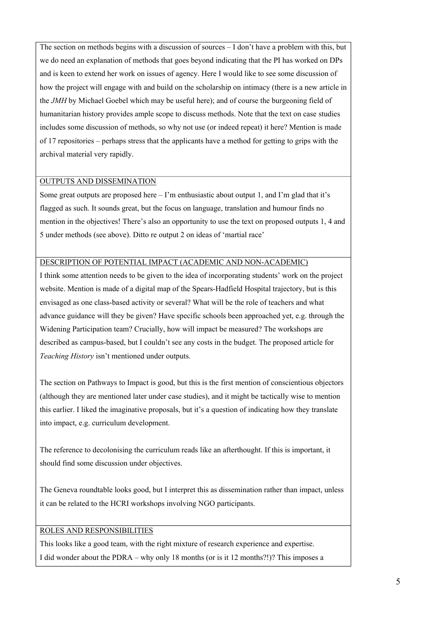The section on methods begins with a discussion of sources – I don't have a problem with this, but we do need an explanation of methods that goes beyond indicating that the PI has worked on DPs and is keen to extend her work on issues of agency. Here I would like to see some discussion of how the project will engage with and build on the scholarship on intimacy (there is a new article in the *JMH* by Michael Goebel which may be useful here); and of course the burgeoning field of humanitarian history provides ample scope to discuss methods. Note that the text on case studies includes some discussion of methods, so why not use (or indeed repeat) it here? Mention is made of 17 repositories – perhaps stress that the applicants have a method for getting to grips with the archival material very rapidly.

### OUTPUTS AND DISSEMINATION

Some great outputs are proposed here  $-1$ 'm enthusiastic about output 1, and I'm glad that it's flagged as such. It sounds great, but the focus on language, translation and humour finds no mention in the objectives! There's also an opportunity to use the text on proposed outputs 1, 4 and 5 under methods (see above). Ditto re output 2 on ideas of 'martial race'

#### DESCRIPTION OF POTENTIAL IMPACT (ACADEMIC AND NON-ACADEMIC)

I think some attention needs to be given to the idea of incorporating students' work on the project website. Mention is made of a digital map of the Spears-Hadfield Hospital trajectory, but is this envisaged as one class-based activity or several? What will be the role of teachers and what advance guidance will they be given? Have specific schools been approached yet, e.g. through the Widening Participation team? Crucially, how will impact be measured? The workshops are described as campus-based, but I couldn't see any costs in the budget. The proposed article for *Teaching History* isn't mentioned under outputs.

The section on Pathways to Impact is good, but this is the first mention of conscientious objectors (although they are mentioned later under case studies), and it might be tactically wise to mention this earlier. I liked the imaginative proposals, but it's a question of indicating how they translate into impact, e.g. curriculum development.

The reference to decolonising the curriculum reads like an afterthought. If this is important, it should find some discussion under objectives.

The Geneva roundtable looks good, but I interpret this as dissemination rather than impact, unless it can be related to the HCRI workshops involving NGO participants.

# ROLES AND RESPONSIBILITIES

This looks like a good team, with the right mixture of research experience and expertise. I did wonder about the PDRA – why only 18 months (or is it 12 months?!)? This imposes a